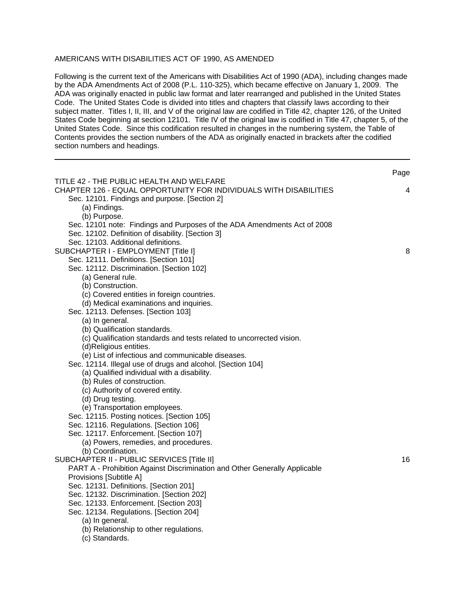# AMERICANS WITH DISABILITIES ACT OF 1990, AS AMENDED

Following is the current text of the Americans with Disabilities Act of 1990 (ADA), including changes made by the ADA Amendments Act of 2008 (P.L. 110-325), which became effective on January 1, 2009. The ADA was originally enacted in public law format and later rearranged and published in the United States Code. The United States Code is divided into titles and chapters that classify laws according to their subject matter. Titles I, II, III, and V of the original law are codified in Title 42, chapter 126, of the United States Code beginning at section 12101. Title IV of the original law is codified in Title 47, chapter 5, of the United States Code. Since this codification resulted in changes in the numbering system, the Table of Contents provides the section numbers of the ADA as originally enacted in brackets after the codified section numbers and headings.

|                                                                                                       | Page |
|-------------------------------------------------------------------------------------------------------|------|
| TITLE 42 - THE PUBLIC HEALTH AND WELFARE                                                              |      |
| CHAPTER 126 - EQUAL OPPORTUNITY FOR INDIVIDUALS WITH DISABILITIES                                     | 4    |
| Sec. 12101. Findings and purpose. [Section 2]                                                         |      |
| (a) Findings.                                                                                         |      |
| (b) Purpose.                                                                                          |      |
| Sec. 12101 note: Findings and Purposes of the ADA Amendments Act of 2008                              |      |
| Sec. 12102. Definition of disability. [Section 3]                                                     |      |
| Sec. 12103. Additional definitions.                                                                   |      |
| SUBCHAPTER I - EMPLOYMENT [Title I]                                                                   | 8    |
| Sec. 12111. Definitions. [Section 101]                                                                |      |
| Sec. 12112. Discrimination. [Section 102]                                                             |      |
| (a) General rule.                                                                                     |      |
| (b) Construction.                                                                                     |      |
| (c) Covered entities in foreign countries.                                                            |      |
| (d) Medical examinations and inquiries.                                                               |      |
| Sec. 12113. Defenses. [Section 103]                                                                   |      |
| (a) In general.                                                                                       |      |
| (b) Qualification standards.                                                                          |      |
| (c) Qualification standards and tests related to uncorrected vision.                                  |      |
| (d)Religious entities.                                                                                |      |
| (e) List of infectious and communicable diseases.                                                     |      |
| Sec. 12114. Illegal use of drugs and alcohol. [Section 104]                                           |      |
| (a) Qualified individual with a disability.                                                           |      |
| (b) Rules of construction.                                                                            |      |
| (c) Authority of covered entity.                                                                      |      |
| (d) Drug testing.                                                                                     |      |
| (e) Transportation employees.                                                                         |      |
| Sec. 12115. Posting notices. [Section 105]                                                            |      |
| Sec. 12116. Regulations. [Section 106]                                                                |      |
| Sec. 12117. Enforcement. [Section 107]                                                                |      |
| (a) Powers, remedies, and procedures.                                                                 |      |
| (b) Coordination.                                                                                     | 16   |
| SUBCHAPTER II - PUBLIC SERVICES [Title II]                                                            |      |
| PART A - Prohibition Against Discrimination and Other Generally Applicable<br>Provisions [Subtitle A] |      |
| Sec. 12131. Definitions. [Section 201]                                                                |      |
| Sec. 12132. Discrimination. [Section 202]                                                             |      |
|                                                                                                       |      |
| Sec. 12133. Enforcement. [Section 203]                                                                |      |
| Sec. 12134. Regulations. [Section 204]<br>(a) In general.                                             |      |
| (b) Relationship to other regulations.                                                                |      |
| (c) Standards.                                                                                        |      |
|                                                                                                       |      |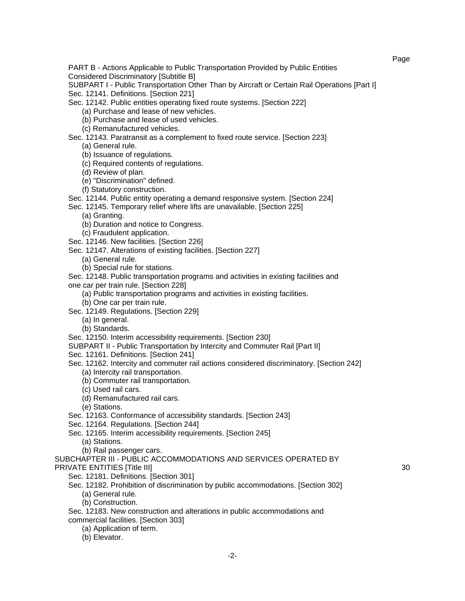Page

PART B - Actions Applicable to Public Transportation Provided by Public Entities Considered Discriminatory [Subtitle B]

SUBPART I - Public Transportation Other Than by Aircraft or Certain Rail Operations [Part I]

Sec. 12141. Definitions. [Section 221]

Sec. 12142. Public entities operating fixed route systems. [Section 222]

- (a) Purchase and lease of new vehicles.
- (b) Purchase and lease of used vehicles.
- (c) Remanufactured vehicles.
- Sec. 12143. Paratransit as a complement to fixed route service. [Section 223] (a) General rule.
	- (b) Issuance of regulations.
	- (c) Required contents of regulations.
	- (d) Review of plan.
	- (e) "Discrimination" defined.
	- (f) Statutory construction.
- Sec. 12144. Public entity operating a demand responsive system. [Section 224]
- Sec. 12145. Temporary relief where lifts are unavailable. [Section 225]
	- (a) Granting.
	- (b) Duration and notice to Congress.
	- (c) Fraudulent application.
- Sec. 12146. New facilities. [Section 226]
- Sec. 12147. Alterations of existing facilities. [Section 227]
	- (a) General rule.
	- (b) Special rule for stations.
- Sec. 12148. Public transportation programs and activities in existing facilities and
- one car per train rule. [Section 228]
	- (a) Public transportation programs and activities in existing facilities.
	- (b) One car per train rule.
- Sec. 12149. Regulations. [Section 229]
	- (a) In general.
	- (b) Standards.
- Sec. 12150. Interim accessibility requirements. [Section 230]
- SUBPART II Public Transportation by Intercity and Commuter Rail [Part II]

Sec. 12161. Definitions. [Section 241]

- Sec. 12162. Intercity and commuter rail actions considered discriminatory. [Section 242] (a) Intercity rail transportation.
	- (b) Commuter rail transportation.
	- (c) Used rail cars.
	- (d) Remanufactured rail cars.
	- (e) Stations.
- Sec. 12163. Conformance of accessibility standards. [Section 243]
- Sec. 12164. Regulations. [Section 244]
- Sec. 12165. Interim accessibility requirements. [Section 245]
	- (a) Stations.
- (b) Rail passenger cars. SUBCHAPTER III - PUBLIC ACCOMMODATIONS AND SERVICES OPERATED BY
- PRIVATE ENTITIES [Title III] 30
	- Sec. 12181. Definitions. [Section 301]
	- Sec. 12182. Prohibition of discrimination by public accommodations. [Section 302] (a) General rule.
		- (b) Construction.
	- Sec. 12183. New construction and alterations in public accommodations and commercial facilities. [Section 303]
		- (a) Application of term.
		- (b) Elevator.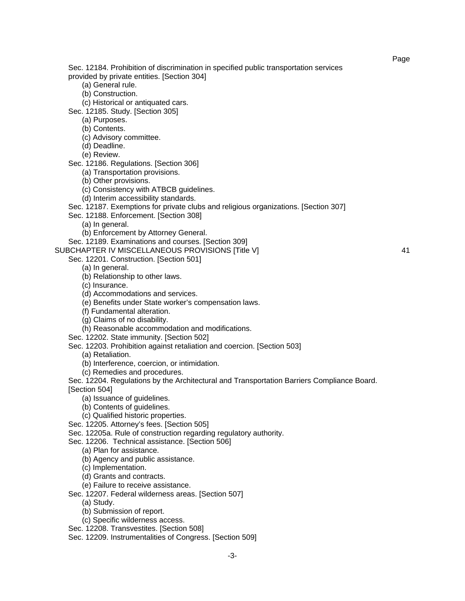Sec. 12184. Prohibition of discrimination in specified public transportation services provided by private entities. [Section 304]

(a) General rule.

- (b) Construction.
- (c) Historical or antiquated cars.
- Sec. 12185. Study. [Section 305]

(a) Purposes.

- (b) Contents.
- (c) Advisory committee.
- (d) Deadline.
- (e) Review.
- Sec. 12186. Regulations. [Section 306]

(a) Transportation provisions.

- (b) Other provisions.
- (c) Consistency with ATBCB guidelines.
- (d) Interim accessibility standards.
- Sec. 12187. Exemptions for private clubs and religious organizations. [Section 307]
- Sec. 12188. Enforcement. [Section 308]
	- (a) In general.
	- (b) Enforcement by Attorney General.
- Sec. 12189. Examinations and courses. [Section 309]
- SUBCHAPTER IV MISCELLANEOUS PROVISIONS [Title V] 41

Sec. 12201. Construction. [Section 501]

- (a) In general.
- (b) Relationship to other laws.
- (c) Insurance.
- (d) Accommodations and services.
- (e) Benefits under State worker's compensation laws.
- (f) Fundamental alteration.
- (g) Claims of no disability.
- (h) Reasonable accommodation and modifications.

Sec. 12202. State immunity. [Section 502]

Sec. 12203. Prohibition against retaliation and coercion. [Section 503]

(a) Retaliation.

- (b) Interference, coercion, or intimidation.
- (c) Remedies and procedures.

Sec. 12204. Regulations by the Architectural and Transportation Barriers Compliance Board. [Section 504]

- (a) Issuance of guidelines.
- (b) Contents of guidelines.
- (c) Qualified historic properties.
- Sec. 12205. Attorney's fees. [Section 505]
- Sec. 12205a. Rule of construction regarding regulatory authority.

Sec. 12206. Technical assistance. [Section 506]

- (a) Plan for assistance.
- (b) Agency and public assistance.
- (c) Implementation.
- (d) Grants and contracts.
- (e) Failure to receive assistance.

Sec. 12207. Federal wilderness areas. [Section 507]

- (a) Study.
- (b) Submission of report.
- (c) Specific wilderness access.
- Sec. 12208. Transvestites. [Section 508]

Sec. 12209. Instrumentalities of Congress. [Section 509]

Page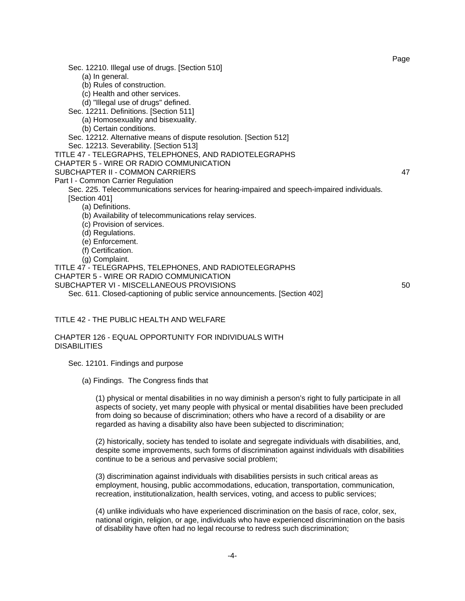Sec. 12210. Illegal use of drugs. [Section 510] (a) In general. (b) Rules of construction. (c) Health and other services. (d) "Illegal use of drugs" defined. Sec. 12211. Definitions. [Section 511] (a) Homosexuality and bisexuality. (b) Certain conditions. Sec. 12212. Alternative means of dispute resolution. [Section 512] Sec. 12213. Severability. [Section 513] TITLE 47 - TELEGRAPHS, TELEPHONES, AND RADIOTELEGRAPHS CHAPTER 5 - WIRE OR RADIO COMMUNICATION SUBCHAPTER II - COMMON CARRIERS 47 Part I - Common Carrier Regulation Sec. 225. Telecommunications services for hearing-impaired and speech-impaired individuals. [Section 401] (a) Definitions. (b) Availability of telecommunications relay services. (c) Provision of services. (d) Regulations. (e) Enforcement. (f) Certification. (g) Complaint. TITLE 47 - TELEGRAPHS, TELEPHONES, AND RADIOTELEGRAPHS CHAPTER 5 - WIRE OR RADIO COMMUNICATION SUBCHAPTER VI - MISCELLANEOUS PROVISIONS **50** SO Sec. 611. Closed-captioning of public service announcements. [Section 402]

Page

## TITLE 42 - THE PUBLIC HEALTH AND WELFARE

CHAPTER 126 - EQUAL OPPORTUNITY FOR INDIVIDUALS WITH **DISABILITIES** 

Sec. 12101. Findings and purpose

(a) Findings. The Congress finds that

(1) physical or mental disabilities in no way diminish a person's right to fully participate in all aspects of society, yet many people with physical or mental disabilities have been precluded from doing so because of discrimination; others who have a record of a disability or are regarded as having a disability also have been subjected to discrimination;

(2) historically, society has tended to isolate and segregate individuals with disabilities, and, despite some improvements, such forms of discrimination against individuals with disabilities continue to be a serious and pervasive social problem;

(3) discrimination against individuals with disabilities persists in such critical areas as employment, housing, public accommodations, education, transportation, communication, recreation, institutionalization, health services, voting, and access to public services;

(4) unlike individuals who have experienced discrimination on the basis of race, color, sex, national origin, religion, or age, individuals who have experienced discrimination on the basis of disability have often had no legal recourse to redress such discrimination;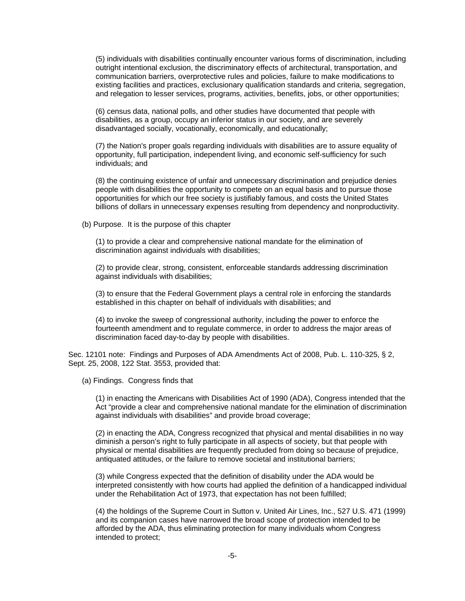(5) individuals with disabilities continually encounter various forms of discrimination, including outright intentional exclusion, the discriminatory effects of architectural, transportation, and communication barriers, overprotective rules and policies, failure to make modifications to existing facilities and practices, exclusionary qualification standards and criteria, segregation, and relegation to lesser services, programs, activities, benefits, jobs, or other opportunities;

(6) census data, national polls, and other studies have documented that people with disabilities, as a group, occupy an inferior status in our society, and are severely disadvantaged socially, vocationally, economically, and educationally;

(7) the Nation's proper goals regarding individuals with disabilities are to assure equality of opportunity, full participation, independent living, and economic self-sufficiency for such individuals; and

(8) the continuing existence of unfair and unnecessary discrimination and prejudice denies people with disabilities the opportunity to compete on an equal basis and to pursue those opportunities for which our free society is justifiably famous, and costs the United States billions of dollars in unnecessary expenses resulting from dependency and nonproductivity.

(b) Purpose. It is the purpose of this chapter

(1) to provide a clear and comprehensive national mandate for the elimination of discrimination against individuals with disabilities;

(2) to provide clear, strong, consistent, enforceable standards addressing discrimination against individuals with disabilities;

(3) to ensure that the Federal Government plays a central role in enforcing the standards established in this chapter on behalf of individuals with disabilities; and

(4) to invoke the sweep of congressional authority, including the power to enforce the fourteenth amendment and to regulate commerce, in order to address the major areas of discrimination faced day-to-day by people with disabilities.

Sec. 12101 note: Findings and Purposes of ADA Amendments Act of 2008, Pub. L. 110-325, § 2, Sept. 25, 2008, 122 Stat. 3553, provided that:

(a) Findings. Congress finds that

(1) in enacting the Americans with Disabilities Act of 1990 (ADA), Congress intended that the Act "provide a clear and comprehensive national mandate for the elimination of discrimination against individuals with disabilities" and provide broad coverage;

(2) in enacting the ADA, Congress recognized that physical and mental disabilities in no way diminish a person's right to fully participate in all aspects of society, but that people with physical or mental disabilities are frequently precluded from doing so because of prejudice, antiquated attitudes, or the failure to remove societal and institutional barriers;

(3) while Congress expected that the definition of disability under the ADA would be interpreted consistently with how courts had applied the definition of a handicapped individual under the Rehabilitation Act of 1973, that expectation has not been fulfilled;

(4) the holdings of the Supreme Court in Sutton v. United Air Lines, Inc., 527 U.S. 471 (1999) and its companion cases have narrowed the broad scope of protection intended to be afforded by the ADA, thus eliminating protection for many individuals whom Congress intended to protect;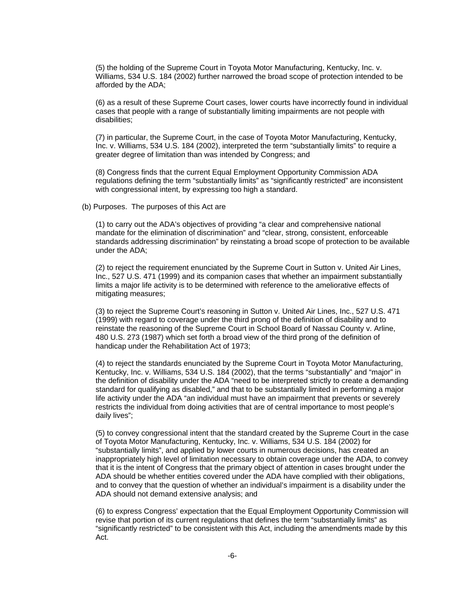(5) the holding of the Supreme Court in Toyota Motor Manufacturing, Kentucky, Inc. v. Williams, 534 U.S. 184 (2002) further narrowed the broad scope of protection intended to be afforded by the ADA;

(6) as a result of these Supreme Court cases, lower courts have incorrectly found in individual cases that people with a range of substantially limiting impairments are not people with disabilities;

(7) in particular, the Supreme Court, in the case of Toyota Motor Manufacturing, Kentucky, Inc. v. Williams, 534 U.S. 184 (2002), interpreted the term "substantially limits" to require a greater degree of limitation than was intended by Congress; and

(8) Congress finds that the current Equal Employment Opportunity Commission ADA regulations defining the term "substantially limits" as "significantly restricted" are inconsistent with congressional intent, by expressing too high a standard.

(b) Purposes. The purposes of this Act are

(1) to carry out the ADA's objectives of providing "a clear and comprehensive national mandate for the elimination of discrimination" and "clear, strong, consistent, enforceable standards addressing discrimination" by reinstating a broad scope of protection to be available under the ADA;

(2) to reject the requirement enunciated by the Supreme Court in Sutton v. United Air Lines, Inc., 527 U.S. 471 (1999) and its companion cases that whether an impairment substantially limits a major life activity is to be determined with reference to the ameliorative effects of mitigating measures;

(3) to reject the Supreme Court's reasoning in Sutton v. United Air Lines, Inc., 527 U.S. 471 (1999) with regard to coverage under the third prong of the definition of disability and to reinstate the reasoning of the Supreme Court in School Board of Nassau County v. Arline, 480 U.S. 273 (1987) which set forth a broad view of the third prong of the definition of handicap under the Rehabilitation Act of 1973;

(4) to reject the standards enunciated by the Supreme Court in Toyota Motor Manufacturing, Kentucky, Inc. v. Williams, 534 U.S. 184 (2002), that the terms "substantially" and "major" in the definition of disability under the ADA "need to be interpreted strictly to create a demanding standard for qualifying as disabled," and that to be substantially limited in performing a major life activity under the ADA "an individual must have an impairment that prevents or severely restricts the individual from doing activities that are of central importance to most people's daily lives";

(5) to convey congressional intent that the standard created by the Supreme Court in the case of Toyota Motor Manufacturing, Kentucky, Inc. v. Williams, 534 U.S. 184 (2002) for "substantially limits", and applied by lower courts in numerous decisions, has created an inappropriately high level of limitation necessary to obtain coverage under the ADA, to convey that it is the intent of Congress that the primary object of attention in cases brought under the ADA should be whether entities covered under the ADA have complied with their obligations, and to convey that the question of whether an individual's impairment is a disability under the ADA should not demand extensive analysis; and

(6) to express Congress' expectation that the Equal Employment Opportunity Commission will revise that portion of its current regulations that defines the term "substantially limits" as "significantly restricted" to be consistent with this Act, including the amendments made by this Act.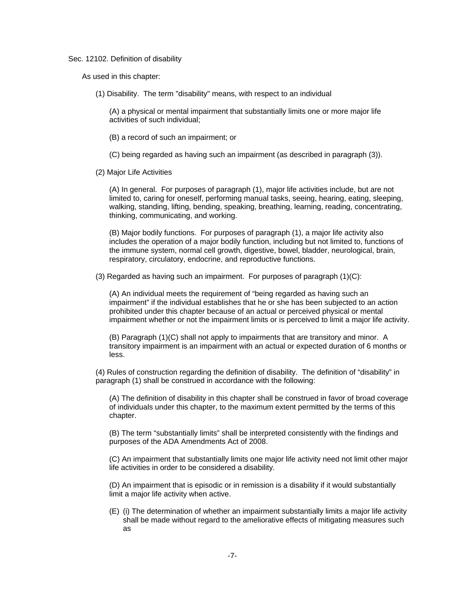Sec. 12102. Definition of disability

As used in this chapter:

(1) Disability. The term "disability" means, with respect to an individual

(A) a physical or mental impairment that substantially limits one or more major life activities of such individual;

(B) a record of such an impairment; or

(C) being regarded as having such an impairment (as described in paragraph (3)).

(2) Major Life Activities

(A) In general. For purposes of paragraph (1), major life activities include, but are not limited to, caring for oneself, performing manual tasks, seeing, hearing, eating, sleeping, walking, standing, lifting, bending, speaking, breathing, learning, reading, concentrating, thinking, communicating, and working.

(B) Major bodily functions. For purposes of paragraph (1), a major life activity also includes the operation of a major bodily function, including but not limited to, functions of the immune system, normal cell growth, digestive, bowel, bladder, neurological, brain, respiratory, circulatory, endocrine, and reproductive functions.

 $(3)$  Regarded as having such an impairment. For purposes of paragraph  $(1)(C)$ :

(A) An individual meets the requirement of "being regarded as having such an impairment" if the individual establishes that he or she has been subjected to an action prohibited under this chapter because of an actual or perceived physical or mental impairment whether or not the impairment limits or is perceived to limit a major life activity.

(B) Paragraph (1)(C) shall not apply to impairments that are transitory and minor. A transitory impairment is an impairment with an actual or expected duration of 6 months or less.

(4) Rules of construction regarding the definition of disability. The definition of "disability" in paragraph (1) shall be construed in accordance with the following:

(A) The definition of disability in this chapter shall be construed in favor of broad coverage of individuals under this chapter, to the maximum extent permitted by the terms of this chapter.

(B) The term "substantially limits" shall be interpreted consistently with the findings and purposes of the ADA Amendments Act of 2008.

(C) An impairment that substantially limits one major life activity need not limit other major life activities in order to be considered a disability.

(D) An impairment that is episodic or in remission is a disability if it would substantially limit a major life activity when active.

(E) (i) The determination of whether an impairment substantially limits a major life activity shall be made without regard to the ameliorative effects of mitigating measures such as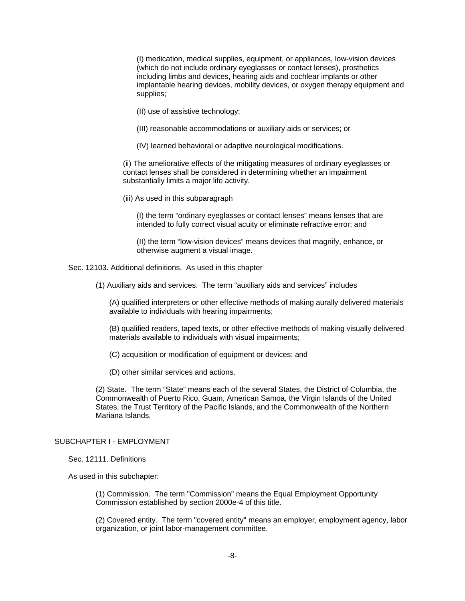(I) medication, medical supplies, equipment, or appliances, low-vision devices (which do not include ordinary eyeglasses or contact lenses), prosthetics including limbs and devices, hearing aids and cochlear implants or other implantable hearing devices, mobility devices, or oxygen therapy equipment and supplies;

- (II) use of assistive technology;
- (III) reasonable accommodations or auxiliary aids or services; or
- (IV) learned behavioral or adaptive neurological modifications.

(ii) The ameliorative effects of the mitigating measures of ordinary eyeglasses or contact lenses shall be considered in determining whether an impairment substantially limits a major life activity.

(iii) As used in this subparagraph

(I) the term "ordinary eyeglasses or contact lenses" means lenses that are intended to fully correct visual acuity or eliminate refractive error; and

(II) the term "low-vision devices" means devices that magnify, enhance, or otherwise augment a visual image.

Sec. 12103. Additional definitions. As used in this chapter

(1) Auxiliary aids and services. The term "auxiliary aids and services" includes

(A) qualified interpreters or other effective methods of making aurally delivered materials available to individuals with hearing impairments;

(B) qualified readers, taped texts, or other effective methods of making visually delivered materials available to individuals with visual impairments;

(C) acquisition or modification of equipment or devices; and

(D) other similar services and actions.

(2) State. The term "State" means each of the several States, the District of Columbia, the Commonwealth of Puerto Rico, Guam, American Samoa, the Virgin Islands of the United States, the Trust Territory of the Pacific Islands, and the Commonwealth of the Northern Mariana Islands.

### SUBCHAPTER I - EMPLOYMENT

Sec. 12111. Definitions

As used in this subchapter:

(1) Commission. The term "Commission" means the Equal Employment Opportunity Commission established by section 2000e-4 of this title.

(2) Covered entity. The term "covered entity" means an employer, employment agency, labor organization, or joint labor-management committee.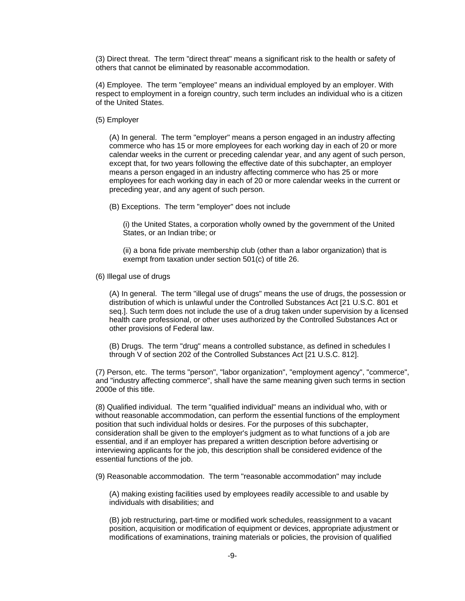(3) Direct threat. The term "direct threat" means a significant risk to the health or safety of others that cannot be eliminated by reasonable accommodation.

(4) Employee. The term "employee" means an individual employed by an employer. With respect to employment in a foreign country, such term includes an individual who is a citizen of the United States.

(5) Employer

(A) In general. The term "employer" means a person engaged in an industry affecting commerce who has 15 or more employees for each working day in each of 20 or more calendar weeks in the current or preceding calendar year, and any agent of such person, except that, for two years following the effective date of this subchapter, an employer means a person engaged in an industry affecting commerce who has 25 or more employees for each working day in each of 20 or more calendar weeks in the current or preceding year, and any agent of such person.

(B) Exceptions. The term "employer" does not include

(i) the United States, a corporation wholly owned by the government of the United States, or an Indian tribe; or

(ii) a bona fide private membership club (other than a labor organization) that is exempt from taxation under section 501(c) of title 26.

(6) Illegal use of drugs

(A) In general. The term "illegal use of drugs" means the use of drugs, the possession or distribution of which is unlawful under the Controlled Substances Act [21 U.S.C. 801 et seq.]. Such term does not include the use of a drug taken under supervision by a licensed health care professional, or other uses authorized by the Controlled Substances Act or other provisions of Federal law.

(B) Drugs. The term "drug" means a controlled substance, as defined in schedules I through V of section 202 of the Controlled Substances Act [21 U.S.C. 812].

(7) Person, etc. The terms "person", "labor organization", "employment agency", "commerce", and "industry affecting commerce", shall have the same meaning given such terms in section 2000e of this title.

(8) Qualified individual. The term "qualified individual" means an individual who, with or without reasonable accommodation, can perform the essential functions of the employment position that such individual holds or desires. For the purposes of this subchapter, consideration shall be given to the employer's judgment as to what functions of a job are essential, and if an employer has prepared a written description before advertising or interviewing applicants for the job, this description shall be considered evidence of the essential functions of the job.

(9) Reasonable accommodation. The term "reasonable accommodation" may include

(A) making existing facilities used by employees readily accessible to and usable by individuals with disabilities; and

(B) job restructuring, part-time or modified work schedules, reassignment to a vacant position, acquisition or modification of equipment or devices, appropriate adjustment or modifications of examinations, training materials or policies, the provision of qualified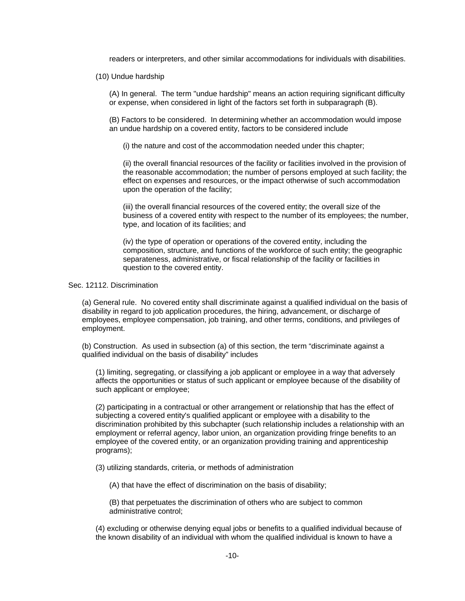readers or interpreters, and other similar accommodations for individuals with disabilities.

(10) Undue hardship

(A) In general. The term "undue hardship" means an action requiring significant difficulty or expense, when considered in light of the factors set forth in subparagraph (B).

(B) Factors to be considered. In determining whether an accommodation would impose an undue hardship on a covered entity, factors to be considered include

(i) the nature and cost of the accommodation needed under this chapter;

(ii) the overall financial resources of the facility or facilities involved in the provision of the reasonable accommodation; the number of persons employed at such facility; the effect on expenses and resources, or the impact otherwise of such accommodation upon the operation of the facility;

(iii) the overall financial resources of the covered entity; the overall size of the business of a covered entity with respect to the number of its employees; the number, type, and location of its facilities; and

(iv) the type of operation or operations of the covered entity, including the composition, structure, and functions of the workforce of such entity; the geographic separateness, administrative, or fiscal relationship of the facility or facilities in question to the covered entity.

Sec. 12112. Discrimination

(a) General rule. No covered entity shall discriminate against a qualified individual on the basis of disability in regard to job application procedures, the hiring, advancement, or discharge of employees, employee compensation, job training, and other terms, conditions, and privileges of employment.

(b) Construction. As used in subsection (a) of this section, the term "discriminate against a qualified individual on the basis of disability" includes

(1) limiting, segregating, or classifying a job applicant or employee in a way that adversely affects the opportunities or status of such applicant or employee because of the disability of such applicant or employee;

(2) participating in a contractual or other arrangement or relationship that has the effect of subjecting a covered entity's qualified applicant or employee with a disability to the discrimination prohibited by this subchapter (such relationship includes a relationship with an employment or referral agency, labor union, an organization providing fringe benefits to an employee of the covered entity, or an organization providing training and apprenticeship programs);

(3) utilizing standards, criteria, or methods of administration

(A) that have the effect of discrimination on the basis of disability;

(B) that perpetuates the discrimination of others who are subject to common administrative control;

(4) excluding or otherwise denying equal jobs or benefits to a qualified individual because of the known disability of an individual with whom the qualified individual is known to have a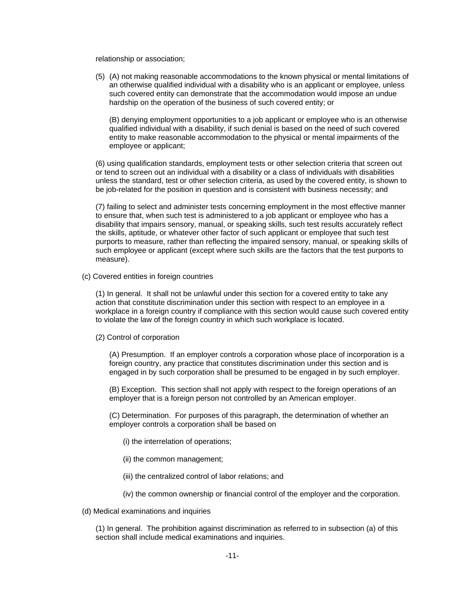relationship or association;

(5) (A) not making reasonable accommodations to the known physical or mental limitations of an otherwise qualified individual with a disability who is an applicant or employee, unless such covered entity can demonstrate that the accommodation would impose an undue hardship on the operation of the business of such covered entity; or

(B) denying employment opportunities to a job applicant or employee who is an otherwise qualified individual with a disability, if such denial is based on the need of such covered entity to make reasonable accommodation to the physical or mental impairments of the employee or applicant;

(6) using qualification standards, employment tests or other selection criteria that screen out or tend to screen out an individual with a disability or a class of individuals with disabilities unless the standard, test or other selection criteria, as used by the covered entity, is shown to be job-related for the position in question and is consistent with business necessity; and

(7) failing to select and administer tests concerning employment in the most effective manner to ensure that, when such test is administered to a job applicant or employee who has a disability that impairs sensory, manual, or speaking skills, such test results accurately reflect the skills, aptitude, or whatever other factor of such applicant or employee that such test purports to measure, rather than reflecting the impaired sensory, manual, or speaking skills of such employee or applicant (except where such skills are the factors that the test purports to measure).

(c) Covered entities in foreign countries

(1) In general. It shall not be unlawful under this section for a covered entity to take any action that constitute discrimination under this section with respect to an employee in a workplace in a foreign country if compliance with this section would cause such covered entity to violate the law of the foreign country in which such workplace is located.

(2) Control of corporation

(A) Presumption. If an employer controls a corporation whose place of incorporation is a foreign country, any practice that constitutes discrimination under this section and is engaged in by such corporation shall be presumed to be engaged in by such employer.

(B) Exception. This section shall not apply with respect to the foreign operations of an employer that is a foreign person not controlled by an American employer.

(C) Determination. For purposes of this paragraph, the determination of whether an employer controls a corporation shall be based on

- (i) the interrelation of operations;
- (ii) the common management;
- (iii) the centralized control of labor relations; and
- (iv) the common ownership or financial control of the employer and the corporation.
- (d) Medical examinations and inquiries

(1) In general. The prohibition against discrimination as referred to in subsection (a) of this section shall include medical examinations and inquiries.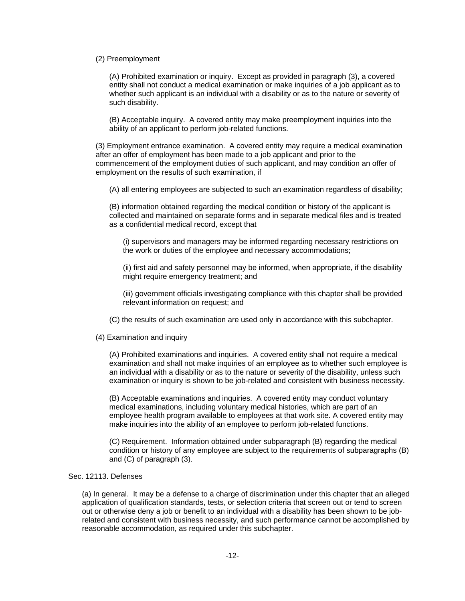# (2) Preemployment

(A) Prohibited examination or inquiry. Except as provided in paragraph (3), a covered entity shall not conduct a medical examination or make inquiries of a job applicant as to whether such applicant is an individual with a disability or as to the nature or severity of such disability.

(B) Acceptable inquiry. A covered entity may make preemployment inquiries into the ability of an applicant to perform job-related functions.

(3) Employment entrance examination. A covered entity may require a medical examination after an offer of employment has been made to a job applicant and prior to the commencement of the employment duties of such applicant, and may condition an offer of employment on the results of such examination, if

(A) all entering employees are subjected to such an examination regardless of disability;

(B) information obtained regarding the medical condition or history of the applicant is collected and maintained on separate forms and in separate medical files and is treated as a confidential medical record, except that

(i) supervisors and managers may be informed regarding necessary restrictions on the work or duties of the employee and necessary accommodations;

(ii) first aid and safety personnel may be informed, when appropriate, if the disability might require emergency treatment; and

(iii) government officials investigating compliance with this chapter shall be provided relevant information on request; and

(C) the results of such examination are used only in accordance with this subchapter.

### (4) Examination and inquiry

(A) Prohibited examinations and inquiries. A covered entity shall not require a medical examination and shall not make inquiries of an employee as to whether such employee is an individual with a disability or as to the nature or severity of the disability, unless such examination or inquiry is shown to be job-related and consistent with business necessity.

(B) Acceptable examinations and inquiries. A covered entity may conduct voluntary medical examinations, including voluntary medical histories, which are part of an employee health program available to employees at that work site. A covered entity may make inquiries into the ability of an employee to perform job-related functions.

(C) Requirement. Information obtained under subparagraph (B) regarding the medical condition or history of any employee are subject to the requirements of subparagraphs (B) and (C) of paragraph (3).

## Sec. 12113. Defenses

(a) In general. It may be a defense to a charge of discrimination under this chapter that an alleged application of qualification standards, tests, or selection criteria that screen out or tend to screen out or otherwise deny a job or benefit to an individual with a disability has been shown to be jobrelated and consistent with business necessity, and such performance cannot be accomplished by reasonable accommodation, as required under this subchapter.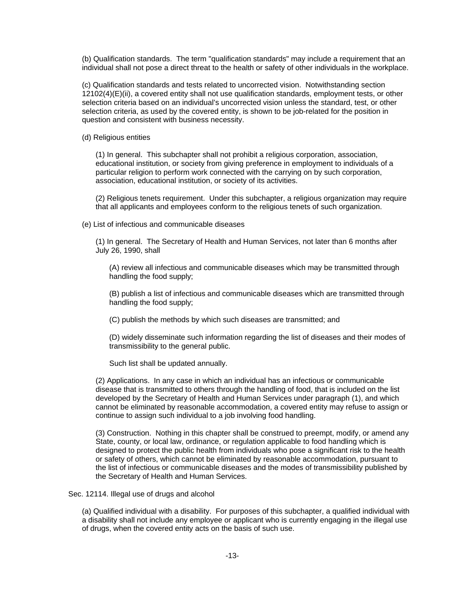(b) Qualification standards. The term "qualification standards" may include a requirement that an individual shall not pose a direct threat to the health or safety of other individuals in the workplace.

(c) Qualification standards and tests related to uncorrected vision. Notwithstanding section 12102(4)(E)(ii), a covered entity shall not use qualification standards, employment tests, or other selection criteria based on an individual's uncorrected vision unless the standard, test, or other selection criteria, as used by the covered entity, is shown to be job-related for the position in question and consistent with business necessity.

(d) Religious entities

(1) In general. This subchapter shall not prohibit a religious corporation, association, educational institution, or society from giving preference in employment to individuals of a particular religion to perform work connected with the carrying on by such corporation, association, educational institution, or society of its activities.

(2) Religious tenets requirement. Under this subchapter, a religious organization may require that all applicants and employees conform to the religious tenets of such organization.

(e) List of infectious and communicable diseases

(1) In general. The Secretary of Health and Human Services, not later than 6 months after July 26, 1990, shall

(A) review all infectious and communicable diseases which may be transmitted through handling the food supply;

(B) publish a list of infectious and communicable diseases which are transmitted through handling the food supply;

(C) publish the methods by which such diseases are transmitted; and

(D) widely disseminate such information regarding the list of diseases and their modes of transmissibility to the general public.

Such list shall be updated annually.

(2) Applications. In any case in which an individual has an infectious or communicable disease that is transmitted to others through the handling of food, that is included on the list developed by the Secretary of Health and Human Services under paragraph (1), and which cannot be eliminated by reasonable accommodation, a covered entity may refuse to assign or continue to assign such individual to a job involving food handling.

(3) Construction. Nothing in this chapter shall be construed to preempt, modify, or amend any State, county, or local law, ordinance, or regulation applicable to food handling which is designed to protect the public health from individuals who pose a significant risk to the health or safety of others, which cannot be eliminated by reasonable accommodation, pursuant to the list of infectious or communicable diseases and the modes of transmissibility published by the Secretary of Health and Human Services.

Sec. 12114. Illegal use of drugs and alcohol

(a) Qualified individual with a disability. For purposes of this subchapter, a qualified individual with a disability shall not include any employee or applicant who is currently engaging in the illegal use of drugs, when the covered entity acts on the basis of such use.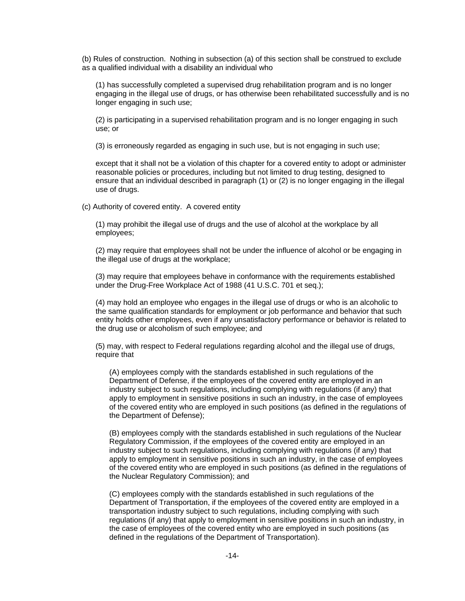(b) Rules of construction. Nothing in subsection (a) of this section shall be construed to exclude as a qualified individual with a disability an individual who

(1) has successfully completed a supervised drug rehabilitation program and is no longer engaging in the illegal use of drugs, or has otherwise been rehabilitated successfully and is no longer engaging in such use;

(2) is participating in a supervised rehabilitation program and is no longer engaging in such use; or

(3) is erroneously regarded as engaging in such use, but is not engaging in such use;

except that it shall not be a violation of this chapter for a covered entity to adopt or administer reasonable policies or procedures, including but not limited to drug testing, designed to ensure that an individual described in paragraph (1) or (2) is no longer engaging in the illegal use of drugs.

(c) Authority of covered entity. A covered entity

(1) may prohibit the illegal use of drugs and the use of alcohol at the workplace by all employees;

(2) may require that employees shall not be under the influence of alcohol or be engaging in the illegal use of drugs at the workplace;

(3) may require that employees behave in conformance with the requirements established under the Drug-Free Workplace Act of 1988 (41 U.S.C. 701 et seq.);

(4) may hold an employee who engages in the illegal use of drugs or who is an alcoholic to the same qualification standards for employment or job performance and behavior that such entity holds other employees, even if any unsatisfactory performance or behavior is related to the drug use or alcoholism of such employee; and

(5) may, with respect to Federal regulations regarding alcohol and the illegal use of drugs, require that

(A) employees comply with the standards established in such regulations of the Department of Defense, if the employees of the covered entity are employed in an industry subject to such regulations, including complying with regulations (if any) that apply to employment in sensitive positions in such an industry, in the case of employees of the covered entity who are employed in such positions (as defined in the regulations of the Department of Defense);

(B) employees comply with the standards established in such regulations of the Nuclear Regulatory Commission, if the employees of the covered entity are employed in an industry subject to such regulations, including complying with regulations (if any) that apply to employment in sensitive positions in such an industry, in the case of employees of the covered entity who are employed in such positions (as defined in the regulations of the Nuclear Regulatory Commission); and

(C) employees comply with the standards established in such regulations of the Department of Transportation, if the employees of the covered entity are employed in a transportation industry subject to such regulations, including complying with such regulations (if any) that apply to employment in sensitive positions in such an industry, in the case of employees of the covered entity who are employed in such positions (as defined in the regulations of the Department of Transportation).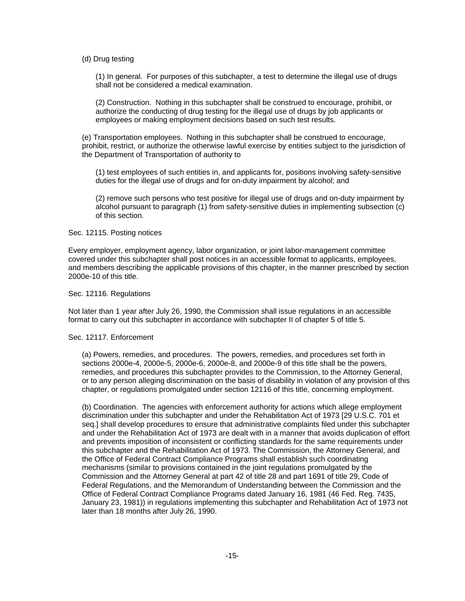## (d) Drug testing

(1) In general. For purposes of this subchapter, a test to determine the illegal use of drugs shall not be considered a medical examination.

(2) Construction. Nothing in this subchapter shall be construed to encourage, prohibit, or authorize the conducting of drug testing for the illegal use of drugs by job applicants or employees or making employment decisions based on such test results.

(e) Transportation employees. Nothing in this subchapter shall be construed to encourage, prohibit, restrict, or authorize the otherwise lawful exercise by entities subject to the jurisdiction of the Department of Transportation of authority to

(1) test employees of such entities in, and applicants for, positions involving safety-sensitive duties for the illegal use of drugs and for on-duty impairment by alcohol; and

(2) remove such persons who test positive for illegal use of drugs and on-duty impairment by alcohol pursuant to paragraph (1) from safety-sensitive duties in implementing subsection (c) of this section.

### Sec. 12115. Posting notices

Every employer, employment agency, labor organization, or joint labor-management committee covered under this subchapter shall post notices in an accessible format to applicants, employees, and members describing the applicable provisions of this chapter, in the manner prescribed by section 2000e-10 of this title.

## Sec. 12116. Regulations

Not later than 1 year after July 26, 1990, the Commission shall issue regulations in an accessible format to carry out this subchapter in accordance with subchapter II of chapter 5 of title 5.

# Sec. 12117. Enforcement

(a) Powers, remedies, and procedures. The powers, remedies, and procedures set forth in sections 2000e-4, 2000e-5, 2000e-6, 2000e-8, and 2000e-9 of this title shall be the powers, remedies, and procedures this subchapter provides to the Commission, to the Attorney General, or to any person alleging discrimination on the basis of disability in violation of any provision of this chapter, or regulations promulgated under section 12116 of this title, concerning employment.

(b) Coordination. The agencies with enforcement authority for actions which allege employment discrimination under this subchapter and under the Rehabilitation Act of 1973 [29 U.S.C. 701 et seq.] shall develop procedures to ensure that administrative complaints filed under this subchapter and under the Rehabilitation Act of 1973 are dealt with in a manner that avoids duplication of effort and prevents imposition of inconsistent or conflicting standards for the same requirements under this subchapter and the Rehabilitation Act of 1973. The Commission, the Attorney General, and the Office of Federal Contract Compliance Programs shall establish such coordinating mechanisms (similar to provisions contained in the joint regulations promulgated by the Commission and the Attorney General at part 42 of title 28 and part 1691 of title 29, Code of Federal Regulations, and the Memorandum of Understanding between the Commission and the Office of Federal Contract Compliance Programs dated January 16, 1981 (46 Fed. Reg. 7435, January 23, 1981)) in regulations implementing this subchapter and Rehabilitation Act of 1973 not later than 18 months after July 26, 1990.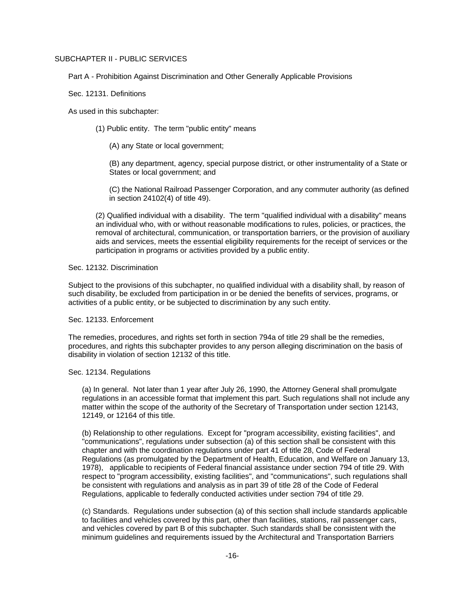# SUBCHAPTER II - PUBLIC SERVICES

Part A - Prohibition Against Discrimination and Other Generally Applicable Provisions

Sec. 12131. Definitions

As used in this subchapter:

- (1) Public entity. The term "public entity" means
	- (A) any State or local government;

(B) any department, agency, special purpose district, or other instrumentality of a State or States or local government; and

(C) the National Railroad Passenger Corporation, and any commuter authority (as defined in section 24102(4) of title 49).

(2) Qualified individual with a disability. The term "qualified individual with a disability" means an individual who, with or without reasonable modifications to rules, policies, or practices, the removal of architectural, communication, or transportation barriers, or the provision of auxiliary aids and services, meets the essential eligibility requirements for the receipt of services or the participation in programs or activities provided by a public entity.

# Sec. 12132. Discrimination

Subject to the provisions of this subchapter, no qualified individual with a disability shall, by reason of such disability, be excluded from participation in or be denied the benefits of services, programs, or activities of a public entity, or be subjected to discrimination by any such entity.

### Sec. 12133. Enforcement

The remedies, procedures, and rights set forth in section 794a of title 29 shall be the remedies, procedures, and rights this subchapter provides to any person alleging discrimination on the basis of disability in violation of section 12132 of this title.

# Sec. 12134. Regulations

(a) In general. Not later than 1 year after July 26, 1990, the Attorney General shall promulgate regulations in an accessible format that implement this part. Such regulations shall not include any matter within the scope of the authority of the Secretary of Transportation under section 12143, 12149, or 12164 of this title.

(b) Relationship to other regulations. Except for "program accessibility, existing facilities", and "communications", regulations under subsection (a) of this section shall be consistent with this chapter and with the coordination regulations under part 41 of title 28, Code of Federal Regulations (as promulgated by the Department of Health, Education, and Welfare on January 13, 1978), applicable to recipients of Federal financial assistance under section 794 of title 29. With respect to "program accessibility, existing facilities", and "communications", such regulations shall be consistent with regulations and analysis as in part 39 of title 28 of the Code of Federal Regulations, applicable to federally conducted activities under section 794 of title 29.

(c) Standards. Regulations under subsection (a) of this section shall include standards applicable to facilities and vehicles covered by this part, other than facilities, stations, rail passenger cars, and vehicles covered by part B of this subchapter. Such standards shall be consistent with the minimum guidelines and requirements issued by the Architectural and Transportation Barriers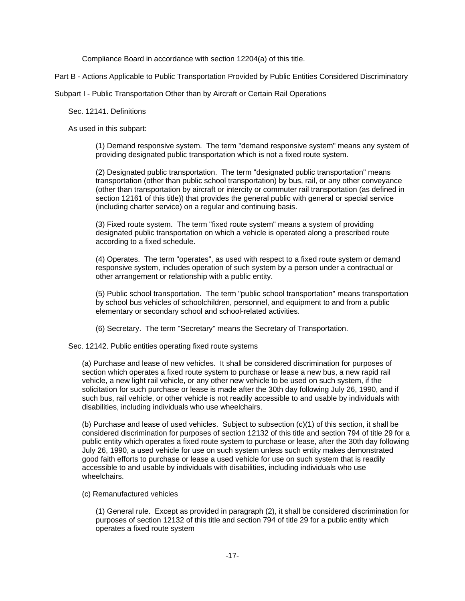Compliance Board in accordance with section 12204(a) of this title.

Part B - Actions Applicable to Public Transportation Provided by Public Entities Considered Discriminatory

Subpart I - Public Transportation Other than by Aircraft or Certain Rail Operations

Sec. 12141. Definitions

As used in this subpart:

(1) Demand responsive system. The term "demand responsive system" means any system of providing designated public transportation which is not a fixed route system.

(2) Designated public transportation. The term "designated public transportation" means transportation (other than public school transportation) by bus, rail, or any other conveyance (other than transportation by aircraft or intercity or commuter rail transportation (as defined in section 12161 of this title)) that provides the general public with general or special service (including charter service) on a regular and continuing basis.

(3) Fixed route system. The term "fixed route system" means a system of providing designated public transportation on which a vehicle is operated along a prescribed route according to a fixed schedule.

(4) Operates. The term "operates", as used with respect to a fixed route system or demand responsive system, includes operation of such system by a person under a contractual or other arrangement or relationship with a public entity.

(5) Public school transportation. The term "public school transportation" means transportation by school bus vehicles of schoolchildren, personnel, and equipment to and from a public elementary or secondary school and school-related activities.

(6) Secretary. The term "Secretary" means the Secretary of Transportation.

Sec. 12142. Public entities operating fixed route systems

(a) Purchase and lease of new vehicles. It shall be considered discrimination for purposes of section which operates a fixed route system to purchase or lease a new bus, a new rapid rail vehicle, a new light rail vehicle, or any other new vehicle to be used on such system, if the solicitation for such purchase or lease is made after the 30th day following July 26, 1990, and if such bus, rail vehicle, or other vehicle is not readily accessible to and usable by individuals with disabilities, including individuals who use wheelchairs.

(b) Purchase and lease of used vehicles. Subject to subsection (c)(1) of this section, it shall be considered discrimination for purposes of section 12132 of this title and section 794 of title 29 for a public entity which operates a fixed route system to purchase or lease, after the 30th day following July 26, 1990, a used vehicle for use on such system unless such entity makes demonstrated good faith efforts to purchase or lease a used vehicle for use on such system that is readily accessible to and usable by individuals with disabilities, including individuals who use wheelchairs.

(c) Remanufactured vehicles

(1) General rule. Except as provided in paragraph (2), it shall be considered discrimination for purposes of section 12132 of this title and section 794 of title 29 for a public entity which operates a fixed route system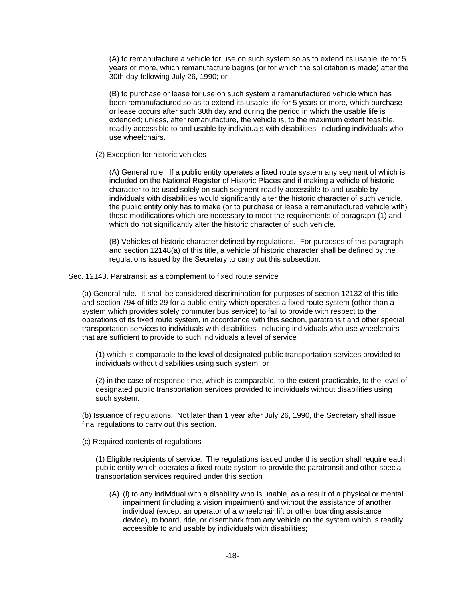(A) to remanufacture a vehicle for use on such system so as to extend its usable life for 5 years or more, which remanufacture begins (or for which the solicitation is made) after the 30th day following July 26, 1990; or

(B) to purchase or lease for use on such system a remanufactured vehicle which has been remanufactured so as to extend its usable life for 5 years or more, which purchase or lease occurs after such 30th day and during the period in which the usable life is extended; unless, after remanufacture, the vehicle is, to the maximum extent feasible, readily accessible to and usable by individuals with disabilities, including individuals who use wheelchairs.

(2) Exception for historic vehicles

(A) General rule. If a public entity operates a fixed route system any segment of which is included on the National Register of Historic Places and if making a vehicle of historic character to be used solely on such segment readily accessible to and usable by individuals with disabilities would significantly alter the historic character of such vehicle, the public entity only has to make (or to purchase or lease a remanufactured vehicle with) those modifications which are necessary to meet the requirements of paragraph (1) and which do not significantly alter the historic character of such vehicle.

(B) Vehicles of historic character defined by regulations. For purposes of this paragraph and section 12148(a) of this title, a vehicle of historic character shall be defined by the regulations issued by the Secretary to carry out this subsection.

Sec. 12143. Paratransit as a complement to fixed route service

(a) General rule. It shall be considered discrimination for purposes of section 12132 of this title and section 794 of title 29 for a public entity which operates a fixed route system (other than a system which provides solely commuter bus service) to fail to provide with respect to the operations of its fixed route system, in accordance with this section, paratransit and other special transportation services to individuals with disabilities, including individuals who use wheelchairs that are sufficient to provide to such individuals a level of service

(1) which is comparable to the level of designated public transportation services provided to individuals without disabilities using such system; or

(2) in the case of response time, which is comparable, to the extent practicable, to the level of designated public transportation services provided to individuals without disabilities using such system.

(b) Issuance of regulations. Not later than 1 year after July 26, 1990, the Secretary shall issue final regulations to carry out this section.

(c) Required contents of regulations

(1) Eligible recipients of service. The regulations issued under this section shall require each public entity which operates a fixed route system to provide the paratransit and other special transportation services required under this section

(A) (i) to any individual with a disability who is unable, as a result of a physical or mental impairment (including a vision impairment) and without the assistance of another individual (except an operator of a wheelchair lift or other boarding assistance device), to board, ride, or disembark from any vehicle on the system which is readily accessible to and usable by individuals with disabilities;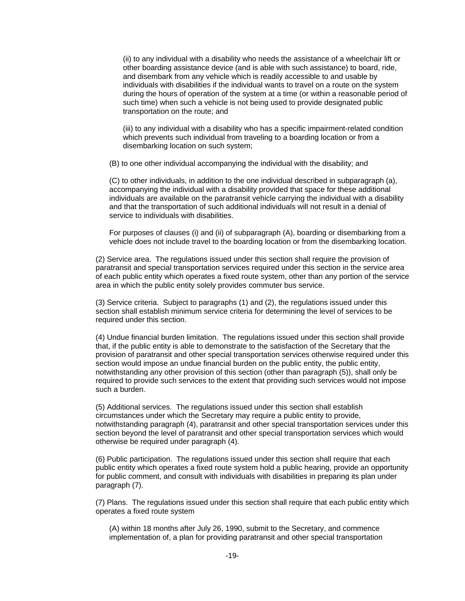(ii) to any individual with a disability who needs the assistance of a wheelchair lift or other boarding assistance device (and is able with such assistance) to board, ride, and disembark from any vehicle which is readily accessible to and usable by individuals with disabilities if the individual wants to travel on a route on the system during the hours of operation of the system at a time (or within a reasonable period of such time) when such a vehicle is not being used to provide designated public transportation on the route; and

(iii) to any individual with a disability who has a specific impairment-related condition which prevents such individual from traveling to a boarding location or from a disembarking location on such system;

(B) to one other individual accompanying the individual with the disability; and

(C) to other individuals, in addition to the one individual described in subparagraph (a), accompanying the individual with a disability provided that space for these additional individuals are available on the paratransit vehicle carrying the individual with a disability and that the transportation of such additional individuals will not result in a denial of service to individuals with disabilities.

For purposes of clauses (i) and (ii) of subparagraph (A), boarding or disembarking from a vehicle does not include travel to the boarding location or from the disembarking location.

(2) Service area. The regulations issued under this section shall require the provision of paratransit and special transportation services required under this section in the service area of each public entity which operates a fixed route system, other than any portion of the service area in which the public entity solely provides commuter bus service.

(3) Service criteria. Subject to paragraphs (1) and (2), the regulations issued under this section shall establish minimum service criteria for determining the level of services to be required under this section.

(4) Undue financial burden limitation. The regulations issued under this section shall provide that, if the public entity is able to demonstrate to the satisfaction of the Secretary that the provision of paratransit and other special transportation services otherwise required under this section would impose an undue financial burden on the public entity, the public entity, notwithstanding any other provision of this section (other than paragraph (5)), shall only be required to provide such services to the extent that providing such services would not impose such a burden.

(5) Additional services. The regulations issued under this section shall establish circumstances under which the Secretary may require a public entity to provide, notwithstanding paragraph (4), paratransit and other special transportation services under this section beyond the level of paratransit and other special transportation services which would otherwise be required under paragraph (4).

(6) Public participation. The regulations issued under this section shall require that each public entity which operates a fixed route system hold a public hearing, provide an opportunity for public comment, and consult with individuals with disabilities in preparing its plan under paragraph (7).

(7) Plans. The regulations issued under this section shall require that each public entity which operates a fixed route system

(A) within 18 months after July 26, 1990, submit to the Secretary, and commence implementation of, a plan for providing paratransit and other special transportation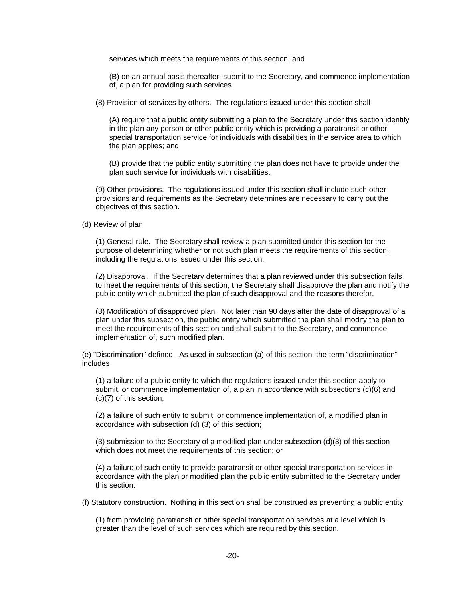services which meets the requirements of this section; and

(B) on an annual basis thereafter, submit to the Secretary, and commence implementation of, a plan for providing such services.

(8) Provision of services by others. The regulations issued under this section shall

(A) require that a public entity submitting a plan to the Secretary under this section identify in the plan any person or other public entity which is providing a paratransit or other special transportation service for individuals with disabilities in the service area to which the plan applies; and

(B) provide that the public entity submitting the plan does not have to provide under the plan such service for individuals with disabilities.

(9) Other provisions. The regulations issued under this section shall include such other provisions and requirements as the Secretary determines are necessary to carry out the objectives of this section.

(d) Review of plan

(1) General rule. The Secretary shall review a plan submitted under this section for the purpose of determining whether or not such plan meets the requirements of this section, including the regulations issued under this section.

(2) Disapproval. If the Secretary determines that a plan reviewed under this subsection fails to meet the requirements of this section, the Secretary shall disapprove the plan and notify the public entity which submitted the plan of such disapproval and the reasons therefor.

(3) Modification of disapproved plan. Not later than 90 days after the date of disapproval of a plan under this subsection, the public entity which submitted the plan shall modify the plan to meet the requirements of this section and shall submit to the Secretary, and commence implementation of, such modified plan.

(e) "Discrimination" defined. As used in subsection (a) of this section, the term "discrimination" includes

(1) a failure of a public entity to which the regulations issued under this section apply to submit, or commence implementation of, a plan in accordance with subsections (c)(6) and (c)(7) of this section;

(2) a failure of such entity to submit, or commence implementation of, a modified plan in accordance with subsection (d) (3) of this section;

(3) submission to the Secretary of a modified plan under subsection (d)(3) of this section which does not meet the requirements of this section; or

(4) a failure of such entity to provide paratransit or other special transportation services in accordance with the plan or modified plan the public entity submitted to the Secretary under this section.

(f) Statutory construction. Nothing in this section shall be construed as preventing a public entity

(1) from providing paratransit or other special transportation services at a level which is greater than the level of such services which are required by this section,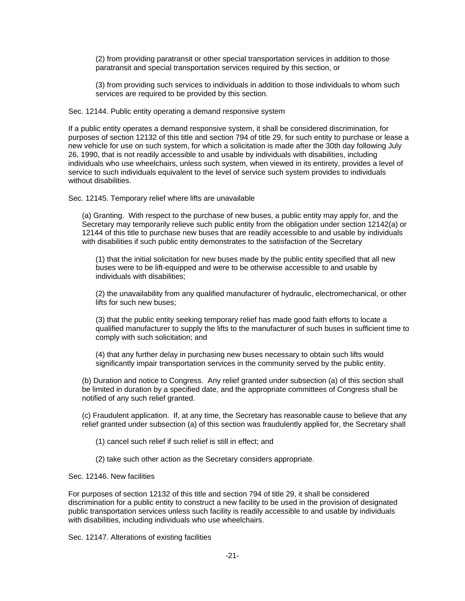(2) from providing paratransit or other special transportation services in addition to those paratransit and special transportation services required by this section, or

(3) from providing such services to individuals in addition to those individuals to whom such services are required to be provided by this section.

Sec. 12144. Public entity operating a demand responsive system

If a public entity operates a demand responsive system, it shall be considered discrimination, for purposes of section 12132 of this title and section 794 of title 29, for such entity to purchase or lease a new vehicle for use on such system, for which a solicitation is made after the 30th day following July 26, 1990, that is not readily accessible to and usable by individuals with disabilities, including individuals who use wheelchairs, unless such system, when viewed in its entirety, provides a level of service to such individuals equivalent to the level of service such system provides to individuals without disabilities.

Sec. 12145. Temporary relief where lifts are unavailable

(a) Granting. With respect to the purchase of new buses, a public entity may apply for, and the Secretary may temporarily relieve such public entity from the obligation under section 12142(a) or 12144 of this title to purchase new buses that are readily accessible to and usable by individuals with disabilities if such public entity demonstrates to the satisfaction of the Secretary

(1) that the initial solicitation for new buses made by the public entity specified that all new buses were to be lift-equipped and were to be otherwise accessible to and usable by individuals with disabilities;

(2) the unavailability from any qualified manufacturer of hydraulic, electromechanical, or other lifts for such new buses;

(3) that the public entity seeking temporary relief has made good faith efforts to locate a qualified manufacturer to supply the lifts to the manufacturer of such buses in sufficient time to comply with such solicitation; and

(4) that any further delay in purchasing new buses necessary to obtain such lifts would significantly impair transportation services in the community served by the public entity.

(b) Duration and notice to Congress. Any relief granted under subsection (a) of this section shall be limited in duration by a specified date, and the appropriate committees of Congress shall be notified of any such relief granted.

(c) Fraudulent application. If, at any time, the Secretary has reasonable cause to believe that any relief granted under subsection (a) of this section was fraudulently applied for, the Secretary shall

(1) cancel such relief if such relief is still in effect; and

(2) take such other action as the Secretary considers appropriate.

Sec. 12146. New facilities

For purposes of section 12132 of this title and section 794 of title 29, it shall be considered discrimination for a public entity to construct a new facility to be used in the provision of designated public transportation services unless such facility is readily accessible to and usable by individuals with disabilities, including individuals who use wheelchairs.

Sec. 12147. Alterations of existing facilities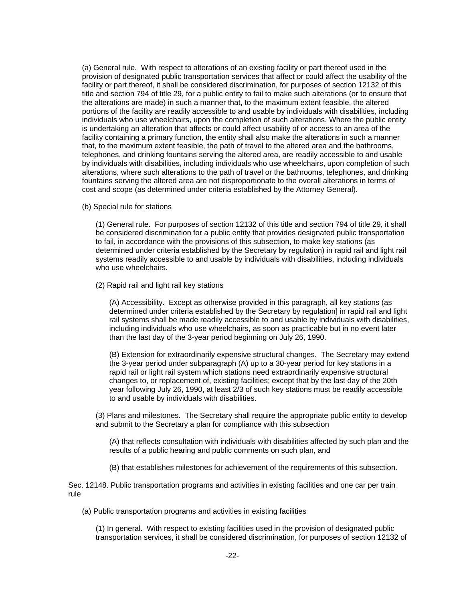(a) General rule. With respect to alterations of an existing facility or part thereof used in the provision of designated public transportation services that affect or could affect the usability of the facility or part thereof, it shall be considered discrimination, for purposes of section 12132 of this title and section 794 of title 29, for a public entity to fail to make such alterations (or to ensure that the alterations are made) in such a manner that, to the maximum extent feasible, the altered portions of the facility are readily accessible to and usable by individuals with disabilities, including individuals who use wheelchairs, upon the completion of such alterations. Where the public entity is undertaking an alteration that affects or could affect usability of or access to an area of the facility containing a primary function, the entity shall also make the alterations in such a manner that, to the maximum extent feasible, the path of travel to the altered area and the bathrooms, telephones, and drinking fountains serving the altered area, are readily accessible to and usable by individuals with disabilities, including individuals who use wheelchairs, upon completion of such alterations, where such alterations to the path of travel or the bathrooms, telephones, and drinking fountains serving the altered area are not disproportionate to the overall alterations in terms of cost and scope (as determined under criteria established by the Attorney General).

(b) Special rule for stations

(1) General rule. For purposes of section 12132 of this title and section 794 of title 29, it shall be considered discrimination for a public entity that provides designated public transportation to fail, in accordance with the provisions of this subsection, to make key stations (as determined under criteria established by the Secretary by regulation) in rapid rail and light rail systems readily accessible to and usable by individuals with disabilities, including individuals who use wheelchairs.

(2) Rapid rail and light rail key stations

(A) Accessibility. Except as otherwise provided in this paragraph, all key stations (as determined under criteria established by the Secretary by regulation] in rapid rail and light rail systems shall be made readily accessible to and usable by individuals with disabilities, including individuals who use wheelchairs, as soon as practicable but in no event later than the last day of the 3-year period beginning on July 26, 1990.

(B) Extension for extraordinarily expensive structural changes. The Secretary may extend the 3-year period under subparagraph (A) up to a 30-year period for key stations in a rapid rail or light rail system which stations need extraordinarily expensive structural changes to, or replacement of, existing facilities; except that by the last day of the 20th year following July 26, 1990, at least 2/3 of such key stations must be readily accessible to and usable by individuals with disabilities.

(3) Plans and milestones. The Secretary shall require the appropriate public entity to develop and submit to the Secretary a plan for compliance with this subsection

(A) that reflects consultation with individuals with disabilities affected by such plan and the results of a public hearing and public comments on such plan, and

(B) that establishes milestones for achievement of the requirements of this subsection.

Sec. 12148. Public transportation programs and activities in existing facilities and one car per train rule

(a) Public transportation programs and activities in existing facilities

(1) In general. With respect to existing facilities used in the provision of designated public transportation services, it shall be considered discrimination, for purposes of section 12132 of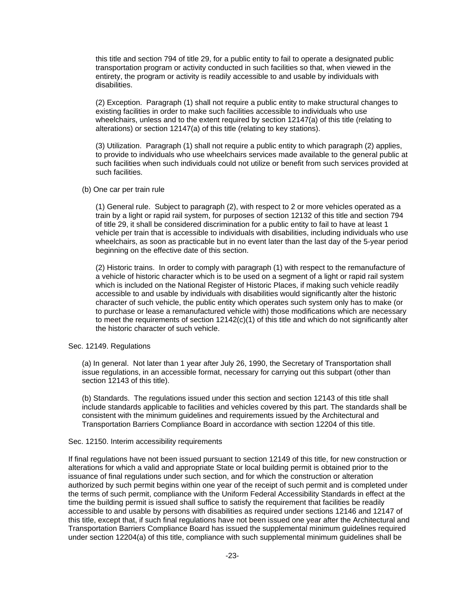this title and section 794 of title 29, for a public entity to fail to operate a designated public transportation program or activity conducted in such facilities so that, when viewed in the entirety, the program or activity is readily accessible to and usable by individuals with disabilities.

(2) Exception. Paragraph (1) shall not require a public entity to make structural changes to existing facilities in order to make such facilities accessible to individuals who use wheelchairs, unless and to the extent required by section 12147(a) of this title (relating to alterations) or section 12147(a) of this title (relating to key stations).

(3) Utilization. Paragraph (1) shall not require a public entity to which paragraph (2) applies, to provide to individuals who use wheelchairs services made available to the general public at such facilities when such individuals could not utilize or benefit from such services provided at such facilities.

### (b) One car per train rule

(1) General rule. Subject to paragraph (2), with respect to 2 or more vehicles operated as a train by a light or rapid rail system, for purposes of section 12132 of this title and section 794 of title 29, it shall be considered discrimination for a public entity to fail to have at least 1 vehicle per train that is accessible to individuals with disabilities, including individuals who use wheelchairs, as soon as practicable but in no event later than the last day of the 5-year period beginning on the effective date of this section.

(2) Historic trains. In order to comply with paragraph (1) with respect to the remanufacture of a vehicle of historic character which is to be used on a segment of a light or rapid rail system which is included on the National Register of Historic Places, if making such vehicle readily accessible to and usable by individuals with disabilities would significantly alter the historic character of such vehicle, the public entity which operates such system only has to make (or to purchase or lease a remanufactured vehicle with) those modifications which are necessary to meet the requirements of section  $12142(c)(1)$  of this title and which do not significantly alter the historic character of such vehicle.

# Sec. 12149. Regulations

(a) In general. Not later than 1 year after July 26, 1990, the Secretary of Transportation shall issue regulations, in an accessible format, necessary for carrying out this subpart (other than section 12143 of this title).

(b) Standards. The regulations issued under this section and section 12143 of this title shall include standards applicable to facilities and vehicles covered by this part. The standards shall be consistent with the minimum guidelines and requirements issued by the Architectural and Transportation Barriers Compliance Board in accordance with section 12204 of this title.

### Sec. 12150. Interim accessibility requirements

If final regulations have not been issued pursuant to section 12149 of this title, for new construction or alterations for which a valid and appropriate State or local building permit is obtained prior to the issuance of final regulations under such section, and for which the construction or alteration authorized by such permit begins within one year of the receipt of such permit and is completed under the terms of such permit, compliance with the Uniform Federal Accessibility Standards in effect at the time the building permit is issued shall suffice to satisfy the requirement that facilities be readily accessible to and usable by persons with disabilities as required under sections 12146 and 12147 of this title, except that, if such final regulations have not been issued one year after the Architectural and Transportation Barriers Compliance Board has issued the supplemental minimum guidelines required under section 12204(a) of this title, compliance with such supplemental minimum guidelines shall be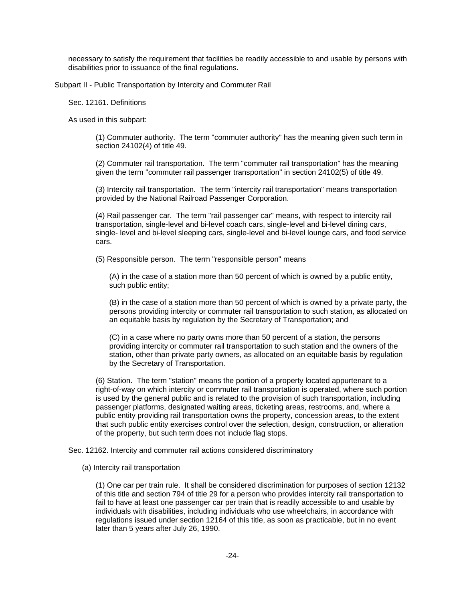necessary to satisfy the requirement that facilities be readily accessible to and usable by persons with disabilities prior to issuance of the final regulations.

Subpart II - Public Transportation by Intercity and Commuter Rail

Sec. 12161. Definitions

As used in this subpart:

(1) Commuter authority. The term "commuter authority" has the meaning given such term in section 24102(4) of title 49.

(2) Commuter rail transportation. The term "commuter rail transportation" has the meaning given the term "commuter rail passenger transportation" in section 24102(5) of title 49.

(3) Intercity rail transportation. The term "intercity rail transportation" means transportation provided by the National Railroad Passenger Corporation.

(4) Rail passenger car. The term "rail passenger car" means, with respect to intercity rail transportation, single-level and bi-level coach cars, single-level and bi-level dining cars, single- level and bi-level sleeping cars, single-level and bi-level lounge cars, and food service cars.

(5) Responsible person. The term "responsible person" means

(A) in the case of a station more than 50 percent of which is owned by a public entity, such public entity;

(B) in the case of a station more than 50 percent of which is owned by a private party, the persons providing intercity or commuter rail transportation to such station, as allocated on an equitable basis by regulation by the Secretary of Transportation; and

(C) in a case where no party owns more than 50 percent of a station, the persons providing intercity or commuter rail transportation to such station and the owners of the station, other than private party owners, as allocated on an equitable basis by regulation by the Secretary of Transportation.

(6) Station. The term "station" means the portion of a property located appurtenant to a right-of-way on which intercity or commuter rail transportation is operated, where such portion is used by the general public and is related to the provision of such transportation, including passenger platforms, designated waiting areas, ticketing areas, restrooms, and, where a public entity providing rail transportation owns the property, concession areas, to the extent that such public entity exercises control over the selection, design, construction, or alteration of the property, but such term does not include flag stops.

Sec. 12162. Intercity and commuter rail actions considered discriminatory

(a) Intercity rail transportation

(1) One car per train rule. It shall be considered discrimination for purposes of section 12132 of this title and section 794 of title 29 for a person who provides intercity rail transportation to fail to have at least one passenger car per train that is readily accessible to and usable by individuals with disabilities, including individuals who use wheelchairs, in accordance with regulations issued under section 12164 of this title, as soon as practicable, but in no event later than 5 years after July 26, 1990.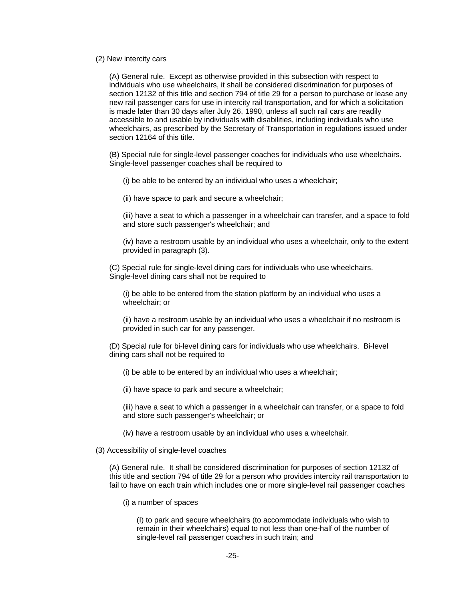#### (2) New intercity cars

(A) General rule. Except as otherwise provided in this subsection with respect to individuals who use wheelchairs, it shall be considered discrimination for purposes of section 12132 of this title and section 794 of title 29 for a person to purchase or lease any new rail passenger cars for use in intercity rail transportation, and for which a solicitation is made later than 30 days after July 26, 1990, unless all such rail cars are readily accessible to and usable by individuals with disabilities, including individuals who use wheelchairs, as prescribed by the Secretary of Transportation in regulations issued under section 12164 of this title.

(B) Special rule for single-level passenger coaches for individuals who use wheelchairs. Single-level passenger coaches shall be required to

(i) be able to be entered by an individual who uses a wheelchair;

(ii) have space to park and secure a wheelchair;

(iii) have a seat to which a passenger in a wheelchair can transfer, and a space to fold and store such passenger's wheelchair; and

(iv) have a restroom usable by an individual who uses a wheelchair, only to the extent provided in paragraph (3).

(C) Special rule for single-level dining cars for individuals who use wheelchairs. Single-level dining cars shall not be required to

(i) be able to be entered from the station platform by an individual who uses a wheelchair; or

(ii) have a restroom usable by an individual who uses a wheelchair if no restroom is provided in such car for any passenger.

(D) Special rule for bi-level dining cars for individuals who use wheelchairs. Bi-level dining cars shall not be required to

(i) be able to be entered by an individual who uses a wheelchair;

(ii) have space to park and secure a wheelchair;

(iii) have a seat to which a passenger in a wheelchair can transfer, or a space to fold and store such passenger's wheelchair; or

(iv) have a restroom usable by an individual who uses a wheelchair.

(3) Accessibility of single-level coaches

(A) General rule. It shall be considered discrimination for purposes of section 12132 of this title and section 794 of title 29 for a person who provides intercity rail transportation to fail to have on each train which includes one or more single-level rail passenger coaches

(i) a number of spaces

(I) to park and secure wheelchairs (to accommodate individuals who wish to remain in their wheelchairs) equal to not less than one-half of the number of single-level rail passenger coaches in such train; and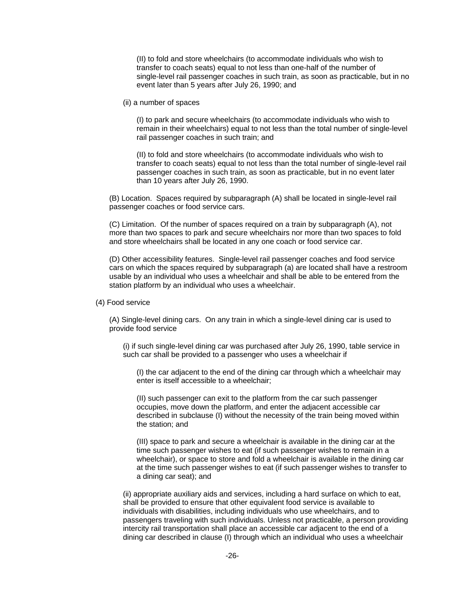(II) to fold and store wheelchairs (to accommodate individuals who wish to transfer to coach seats) equal to not less than one-half of the number of single-level rail passenger coaches in such train, as soon as practicable, but in no event later than 5 years after July 26, 1990; and

(ii) a number of spaces

(I) to park and secure wheelchairs (to accommodate individuals who wish to remain in their wheelchairs) equal to not less than the total number of single-level rail passenger coaches in such train; and

(II) to fold and store wheelchairs (to accommodate individuals who wish to transfer to coach seats) equal to not less than the total number of single-level rail passenger coaches in such train, as soon as practicable, but in no event later than 10 years after July 26, 1990.

(B) Location. Spaces required by subparagraph (A) shall be located in single-level rail passenger coaches or food service cars.

(C) Limitation. Of the number of spaces required on a train by subparagraph (A), not more than two spaces to park and secure wheelchairs nor more than two spaces to fold and store wheelchairs shall be located in any one coach or food service car.

(D) Other accessibility features. Single-level rail passenger coaches and food service cars on which the spaces required by subparagraph (a) are located shall have a restroom usable by an individual who uses a wheelchair and shall be able to be entered from the station platform by an individual who uses a wheelchair.

(4) Food service

(A) Single-level dining cars. On any train in which a single-level dining car is used to provide food service

(i) if such single-level dining car was purchased after July 26, 1990, table service in such car shall be provided to a passenger who uses a wheelchair if

(I) the car adjacent to the end of the dining car through which a wheelchair may enter is itself accessible to a wheelchair;

(II) such passenger can exit to the platform from the car such passenger occupies, move down the platform, and enter the adjacent accessible car described in subclause (I) without the necessity of the train being moved within the station; and

(III) space to park and secure a wheelchair is available in the dining car at the time such passenger wishes to eat (if such passenger wishes to remain in a wheelchair), or space to store and fold a wheelchair is available in the dining car at the time such passenger wishes to eat (if such passenger wishes to transfer to a dining car seat); and

(ii) appropriate auxiliary aids and services, including a hard surface on which to eat, shall be provided to ensure that other equivalent food service is available to individuals with disabilities, including individuals who use wheelchairs, and to passengers traveling with such individuals. Unless not practicable, a person providing intercity rail transportation shall place an accessible car adjacent to the end of a dining car described in clause (I) through which an individual who uses a wheelchair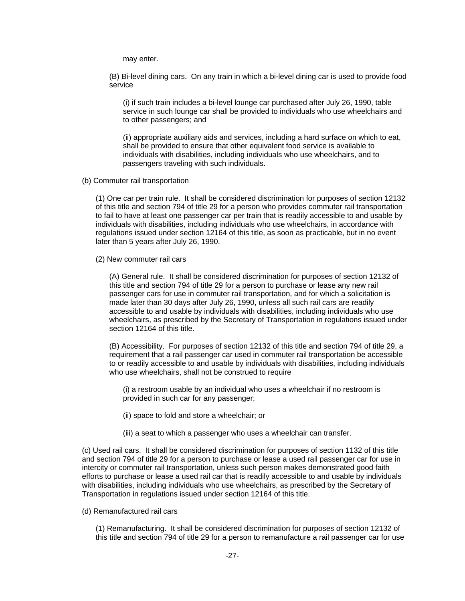may enter.

(B) Bi-level dining cars. On any train in which a bi-level dining car is used to provide food service

(i) if such train includes a bi-level lounge car purchased after July 26, 1990, table service in such lounge car shall be provided to individuals who use wheelchairs and to other passengers; and

(ii) appropriate auxiliary aids and services, including a hard surface on which to eat, shall be provided to ensure that other equivalent food service is available to individuals with disabilities, including individuals who use wheelchairs, and to passengers traveling with such individuals.

(b) Commuter rail transportation

(1) One car per train rule. It shall be considered discrimination for purposes of section 12132 of this title and section 794 of title 29 for a person who provides commuter rail transportation to fail to have at least one passenger car per train that is readily accessible to and usable by individuals with disabilities, including individuals who use wheelchairs, in accordance with regulations issued under section 12164 of this title, as soon as practicable, but in no event later than 5 years after July 26, 1990.

(2) New commuter rail cars

(A) General rule. It shall be considered discrimination for purposes of section 12132 of this title and section 794 of title 29 for a person to purchase or lease any new rail passenger cars for use in commuter rail transportation, and for which a solicitation is made later than 30 days after July 26, 1990, unless all such rail cars are readily accessible to and usable by individuals with disabilities, including individuals who use wheelchairs, as prescribed by the Secretary of Transportation in regulations issued under section 12164 of this title.

(B) Accessibility. For purposes of section 12132 of this title and section 794 of title 29, a requirement that a rail passenger car used in commuter rail transportation be accessible to or readily accessible to and usable by individuals with disabilities, including individuals who use wheelchairs, shall not be construed to require

(i) a restroom usable by an individual who uses a wheelchair if no restroom is provided in such car for any passenger;

- (ii) space to fold and store a wheelchair; or
- (iii) a seat to which a passenger who uses a wheelchair can transfer.

(c) Used rail cars. It shall be considered discrimination for purposes of section 1132 of this title and section 794 of title 29 for a person to purchase or lease a used rail passenger car for use in intercity or commuter rail transportation, unless such person makes demonstrated good faith efforts to purchase or lease a used rail car that is readily accessible to and usable by individuals with disabilities, including individuals who use wheelchairs, as prescribed by the Secretary of Transportation in regulations issued under section 12164 of this title.

(d) Remanufactured rail cars

(1) Remanufacturing. It shall be considered discrimination for purposes of section 12132 of this title and section 794 of title 29 for a person to remanufacture a rail passenger car for use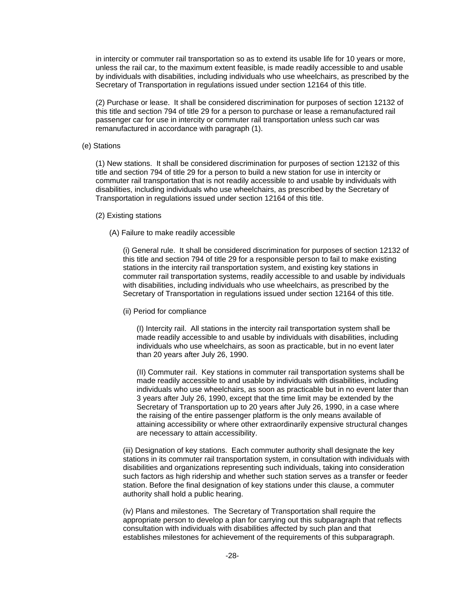in intercity or commuter rail transportation so as to extend its usable life for 10 years or more, unless the rail car, to the maximum extent feasible, is made readily accessible to and usable by individuals with disabilities, including individuals who use wheelchairs, as prescribed by the Secretary of Transportation in regulations issued under section 12164 of this title.

(2) Purchase or lease. It shall be considered discrimination for purposes of section 12132 of this title and section 794 of title 29 for a person to purchase or lease a remanufactured rail passenger car for use in intercity or commuter rail transportation unless such car was remanufactured in accordance with paragraph (1).

### (e) Stations

(1) New stations. It shall be considered discrimination for purposes of section 12132 of this title and section 794 of title 29 for a person to build a new station for use in intercity or commuter rail transportation that is not readily accessible to and usable by individuals with disabilities, including individuals who use wheelchairs, as prescribed by the Secretary of Transportation in regulations issued under section 12164 of this title.

## (2) Existing stations

(A) Failure to make readily accessible

(i) General rule. It shall be considered discrimination for purposes of section 12132 of this title and section 794 of title 29 for a responsible person to fail to make existing stations in the intercity rail transportation system, and existing key stations in commuter rail transportation systems, readily accessible to and usable by individuals with disabilities, including individuals who use wheelchairs, as prescribed by the Secretary of Transportation in regulations issued under section 12164 of this title.

(ii) Period for compliance

(I) Intercity rail. All stations in the intercity rail transportation system shall be made readily accessible to and usable by individuals with disabilities, including individuals who use wheelchairs, as soon as practicable, but in no event later than 20 years after July 26, 1990.

(II) Commuter rail. Key stations in commuter rail transportation systems shall be made readily accessible to and usable by individuals with disabilities, including individuals who use wheelchairs, as soon as practicable but in no event later than 3 years after July 26, 1990, except that the time limit may be extended by the Secretary of Transportation up to 20 years after July 26, 1990, in a case where the raising of the entire passenger platform is the only means available of attaining accessibility or where other extraordinarily expensive structural changes are necessary to attain accessibility.

(iii) Designation of key stations. Each commuter authority shall designate the key stations in its commuter rail transportation system, in consultation with individuals with disabilities and organizations representing such individuals, taking into consideration such factors as high ridership and whether such station serves as a transfer or feeder station. Before the final designation of key stations under this clause, a commuter authority shall hold a public hearing.

(iv) Plans and milestones. The Secretary of Transportation shall require the appropriate person to develop a plan for carrying out this subparagraph that reflects consultation with individuals with disabilities affected by such plan and that establishes milestones for achievement of the requirements of this subparagraph.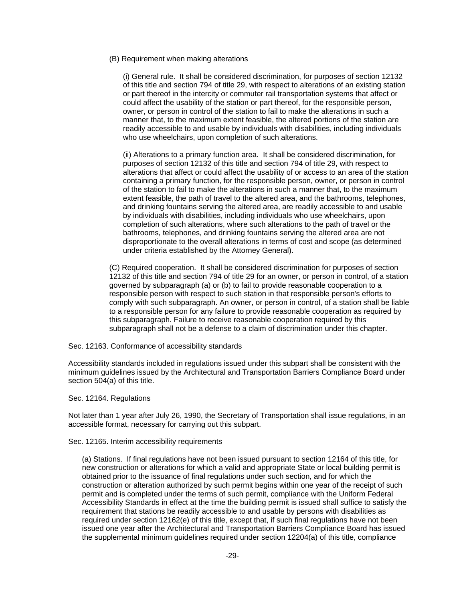## (B) Requirement when making alterations

(i) General rule. It shall be considered discrimination, for purposes of section 12132 of this title and section 794 of title 29, with respect to alterations of an existing station or part thereof in the intercity or commuter rail transportation systems that affect or could affect the usability of the station or part thereof, for the responsible person, owner, or person in control of the station to fail to make the alterations in such a manner that, to the maximum extent feasible, the altered portions of the station are readily accessible to and usable by individuals with disabilities, including individuals who use wheelchairs, upon completion of such alterations.

(ii) Alterations to a primary function area. It shall be considered discrimination, for purposes of section 12132 of this title and section 794 of title 29, with respect to alterations that affect or could affect the usability of or access to an area of the station containing a primary function, for the responsible person, owner, or person in control of the station to fail to make the alterations in such a manner that, to the maximum extent feasible, the path of travel to the altered area, and the bathrooms, telephones, and drinking fountains serving the altered area, are readily accessible to and usable by individuals with disabilities, including individuals who use wheelchairs, upon completion of such alterations, where such alterations to the path of travel or the bathrooms, telephones, and drinking fountains serving the altered area are not disproportionate to the overall alterations in terms of cost and scope (as determined under criteria established by the Attorney General).

(C) Required cooperation. It shall be considered discrimination for purposes of section 12132 of this title and section 794 of title 29 for an owner, or person in control, of a station governed by subparagraph (a) or (b) to fail to provide reasonable cooperation to a responsible person with respect to such station in that responsible person's efforts to comply with such subparagraph. An owner, or person in control, of a station shall be liable to a responsible person for any failure to provide reasonable cooperation as required by this subparagraph. Failure to receive reasonable cooperation required by this subparagraph shall not be a defense to a claim of discrimination under this chapter.

# Sec. 12163. Conformance of accessibility standards

Accessibility standards included in regulations issued under this subpart shall be consistent with the minimum guidelines issued by the Architectural and Transportation Barriers Compliance Board under section 504(a) of this title.

Sec. 12164. Regulations

Not later than 1 year after July 26, 1990, the Secretary of Transportation shall issue regulations, in an accessible format, necessary for carrying out this subpart.

### Sec. 12165. Interim accessibility requirements

(a) Stations. If final regulations have not been issued pursuant to section 12164 of this title, for new construction or alterations for which a valid and appropriate State or local building permit is obtained prior to the issuance of final regulations under such section, and for which the construction or alteration authorized by such permit begins within one year of the receipt of such permit and is completed under the terms of such permit, compliance with the Uniform Federal Accessibility Standards in effect at the time the building permit is issued shall suffice to satisfy the requirement that stations be readily accessible to and usable by persons with disabilities as required under section 12162(e) of this title, except that, if such final regulations have not been issued one year after the Architectural and Transportation Barriers Compliance Board has issued the supplemental minimum guidelines required under section 12204(a) of this title, compliance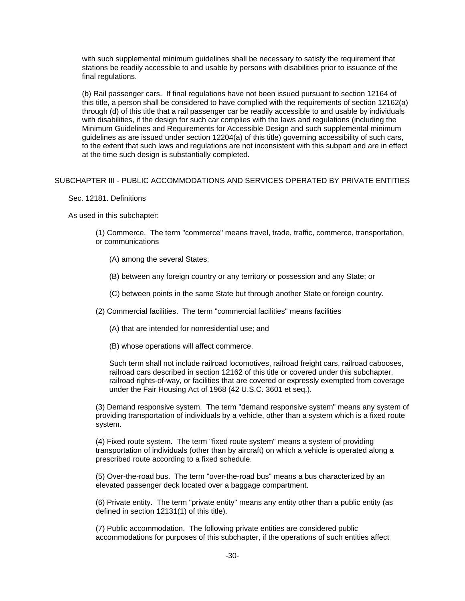with such supplemental minimum guidelines shall be necessary to satisfy the requirement that stations be readily accessible to and usable by persons with disabilities prior to issuance of the final regulations.

(b) Rail passenger cars. If final regulations have not been issued pursuant to section 12164 of this title, a person shall be considered to have complied with the requirements of section 12162(a) through (d) of this title that a rail passenger car be readily accessible to and usable by individuals with disabilities, if the design for such car complies with the laws and regulations (including the Minimum Guidelines and Requirements for Accessible Design and such supplemental minimum guidelines as are issued under section 12204(a) of this title) governing accessibility of such cars, to the extent that such laws and regulations are not inconsistent with this subpart and are in effect at the time such design is substantially completed.

# SUBCHAPTER III - PUBLIC ACCOMMODATIONS AND SERVICES OPERATED BY PRIVATE ENTITIES

Sec. 12181. Definitions

As used in this subchapter:

(1) Commerce. The term "commerce" means travel, trade, traffic, commerce, transportation, or communications

- (A) among the several States;
- (B) between any foreign country or any territory or possession and any State; or
- (C) between points in the same State but through another State or foreign country.
- (2) Commercial facilities. The term "commercial facilities" means facilities
	- (A) that are intended for nonresidential use; and
	- (B) whose operations will affect commerce.

Such term shall not include railroad locomotives, railroad freight cars, railroad cabooses, railroad cars described in section 12162 of this title or covered under this subchapter, railroad rights-of-way, or facilities that are covered or expressly exempted from coverage under the Fair Housing Act of 1968 (42 U.S.C. 3601 et seq.).

(3) Demand responsive system. The term "demand responsive system" means any system of providing transportation of individuals by a vehicle, other than a system which is a fixed route system.

(4) Fixed route system. The term "fixed route system" means a system of providing transportation of individuals (other than by aircraft) on which a vehicle is operated along a prescribed route according to a fixed schedule.

(5) Over-the-road bus. The term "over-the-road bus" means a bus characterized by an elevated passenger deck located over a baggage compartment.

(6) Private entity. The term "private entity" means any entity other than a public entity (as defined in section 12131(1) of this title).

(7) Public accommodation. The following private entities are considered public accommodations for purposes of this subchapter, if the operations of such entities affect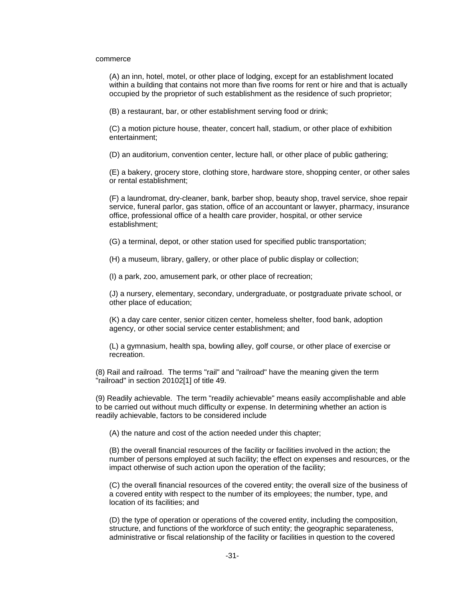#### commerce

(A) an inn, hotel, motel, or other place of lodging, except for an establishment located within a building that contains not more than five rooms for rent or hire and that is actually occupied by the proprietor of such establishment as the residence of such proprietor;

(B) a restaurant, bar, or other establishment serving food or drink;

(C) a motion picture house, theater, concert hall, stadium, or other place of exhibition entertainment;

(D) an auditorium, convention center, lecture hall, or other place of public gathering;

(E) a bakery, grocery store, clothing store, hardware store, shopping center, or other sales or rental establishment;

(F) a laundromat, dry-cleaner, bank, barber shop, beauty shop, travel service, shoe repair service, funeral parlor, gas station, office of an accountant or lawyer, pharmacy, insurance office, professional office of a health care provider, hospital, or other service establishment;

(G) a terminal, depot, or other station used for specified public transportation;

(H) a museum, library, gallery, or other place of public display or collection;

(I) a park, zoo, amusement park, or other place of recreation;

(J) a nursery, elementary, secondary, undergraduate, or postgraduate private school, or other place of education;

(K) a day care center, senior citizen center, homeless shelter, food bank, adoption agency, or other social service center establishment; and

(L) a gymnasium, health spa, bowling alley, golf course, or other place of exercise or recreation.

(8) Rail and railroad. The terms "rail" and "railroad" have the meaning given the term "railroad" in section 20102[1] of title 49.

(9) Readily achievable. The term "readily achievable" means easily accomplishable and able to be carried out without much difficulty or expense. In determining whether an action is readily achievable, factors to be considered include

(A) the nature and cost of the action needed under this chapter;

(B) the overall financial resources of the facility or facilities involved in the action; the number of persons employed at such facility; the effect on expenses and resources, or the impact otherwise of such action upon the operation of the facility;

(C) the overall financial resources of the covered entity; the overall size of the business of a covered entity with respect to the number of its employees; the number, type, and location of its facilities; and

(D) the type of operation or operations of the covered entity, including the composition, structure, and functions of the workforce of such entity; the geographic separateness, administrative or fiscal relationship of the facility or facilities in question to the covered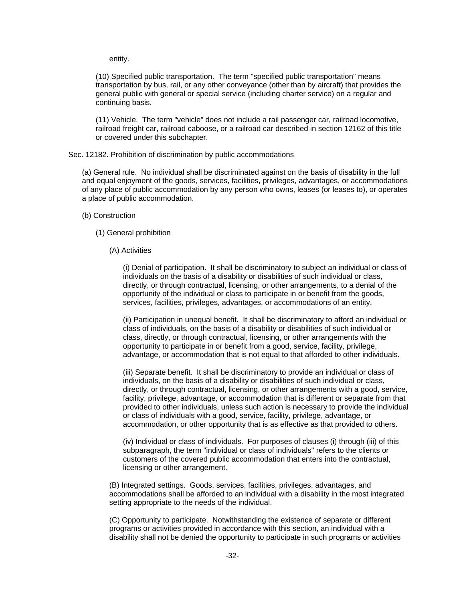entity.

(10) Specified public transportation. The term "specified public transportation" means transportation by bus, rail, or any other conveyance (other than by aircraft) that provides the general public with general or special service (including charter service) on a regular and continuing basis.

(11) Vehicle. The term "vehicle" does not include a rail passenger car, railroad locomotive, railroad freight car, railroad caboose, or a railroad car described in section 12162 of this title or covered under this subchapter.

## Sec. 12182. Prohibition of discrimination by public accommodations

(a) General rule. No individual shall be discriminated against on the basis of disability in the full and equal enjoyment of the goods, services, facilities, privileges, advantages, or accommodations of any place of public accommodation by any person who owns, leases (or leases to), or operates a place of public accommodation.

# (b) Construction

(1) General prohibition

## (A) Activities

(i) Denial of participation. It shall be discriminatory to subject an individual or class of individuals on the basis of a disability or disabilities of such individual or class, directly, or through contractual, licensing, or other arrangements, to a denial of the opportunity of the individual or class to participate in or benefit from the goods, services, facilities, privileges, advantages, or accommodations of an entity.

(ii) Participation in unequal benefit. It shall be discriminatory to afford an individual or class of individuals, on the basis of a disability or disabilities of such individual or class, directly, or through contractual, licensing, or other arrangements with the opportunity to participate in or benefit from a good, service, facility, privilege, advantage, or accommodation that is not equal to that afforded to other individuals.

(iii) Separate benefit. It shall be discriminatory to provide an individual or class of individuals, on the basis of a disability or disabilities of such individual or class, directly, or through contractual, licensing, or other arrangements with a good, service, facility, privilege, advantage, or accommodation that is different or separate from that provided to other individuals, unless such action is necessary to provide the individual or class of individuals with a good, service, facility, privilege, advantage, or accommodation, or other opportunity that is as effective as that provided to others.

(iv) Individual or class of individuals. For purposes of clauses (i) through (iii) of this subparagraph, the term "individual or class of individuals" refers to the clients or customers of the covered public accommodation that enters into the contractual, licensing or other arrangement.

(B) Integrated settings. Goods, services, facilities, privileges, advantages, and accommodations shall be afforded to an individual with a disability in the most integrated setting appropriate to the needs of the individual.

(C) Opportunity to participate. Notwithstanding the existence of separate or different programs or activities provided in accordance with this section, an individual with a disability shall not be denied the opportunity to participate in such programs or activities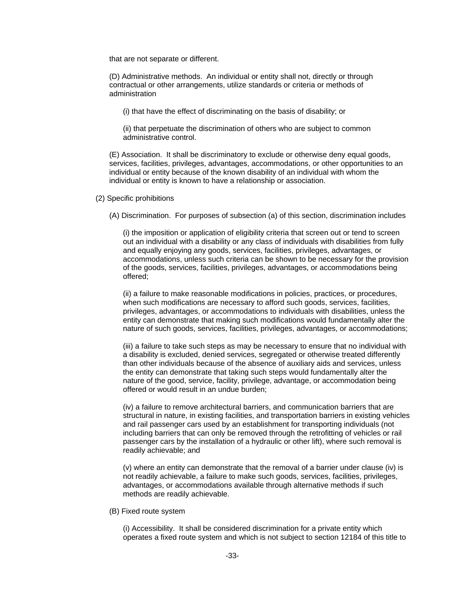that are not separate or different.

(D) Administrative methods. An individual or entity shall not, directly or through contractual or other arrangements, utilize standards or criteria or methods of administration

(i) that have the effect of discriminating on the basis of disability; or

(ii) that perpetuate the discrimination of others who are subject to common administrative control.

(E) Association. It shall be discriminatory to exclude or otherwise deny equal goods, services, facilities, privileges, advantages, accommodations, or other opportunities to an individual or entity because of the known disability of an individual with whom the individual or entity is known to have a relationship or association.

(2) Specific prohibitions

(A) Discrimination. For purposes of subsection (a) of this section, discrimination includes

(i) the imposition or application of eligibility criteria that screen out or tend to screen out an individual with a disability or any class of individuals with disabilities from fully and equally enjoying any goods, services, facilities, privileges, advantages, or accommodations, unless such criteria can be shown to be necessary for the provision of the goods, services, facilities, privileges, advantages, or accommodations being offered;

(ii) a failure to make reasonable modifications in policies, practices, or procedures, when such modifications are necessary to afford such goods, services, facilities, privileges, advantages, or accommodations to individuals with disabilities, unless the entity can demonstrate that making such modifications would fundamentally alter the nature of such goods, services, facilities, privileges, advantages, or accommodations;

(iii) a failure to take such steps as may be necessary to ensure that no individual with a disability is excluded, denied services, segregated or otherwise treated differently than other individuals because of the absence of auxiliary aids and services, unless the entity can demonstrate that taking such steps would fundamentally alter the nature of the good, service, facility, privilege, advantage, or accommodation being offered or would result in an undue burden;

(iv) a failure to remove architectural barriers, and communication barriers that are structural in nature, in existing facilities, and transportation barriers in existing vehicles and rail passenger cars used by an establishment for transporting individuals (not including barriers that can only be removed through the retrofitting of vehicles or rail passenger cars by the installation of a hydraulic or other lift), where such removal is readily achievable; and

(v) where an entity can demonstrate that the removal of a barrier under clause (iv) is not readily achievable, a failure to make such goods, services, facilities, privileges, advantages, or accommodations available through alternative methods if such methods are readily achievable.

(B) Fixed route system

(i) Accessibility. It shall be considered discrimination for a private entity which operates a fixed route system and which is not subject to section 12184 of this title to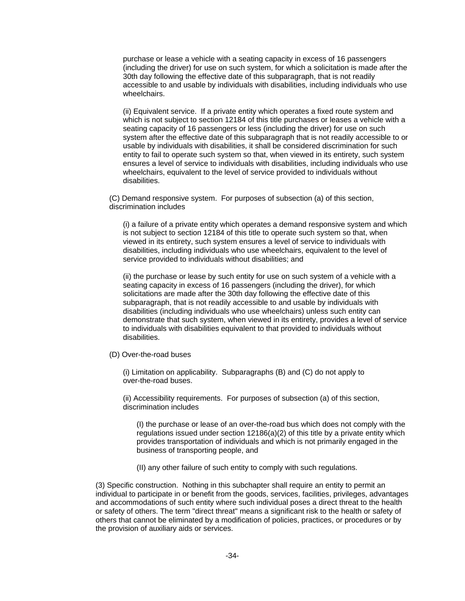purchase or lease a vehicle with a seating capacity in excess of 16 passengers (including the driver) for use on such system, for which a solicitation is made after the 30th day following the effective date of this subparagraph, that is not readily accessible to and usable by individuals with disabilities, including individuals who use wheelchairs.

(ii) Equivalent service. If a private entity which operates a fixed route system and which is not subject to section 12184 of this title purchases or leases a vehicle with a seating capacity of 16 passengers or less (including the driver) for use on such system after the effective date of this subparagraph that is not readily accessible to or usable by individuals with disabilities, it shall be considered discrimination for such entity to fail to operate such system so that, when viewed in its entirety, such system ensures a level of service to individuals with disabilities, including individuals who use wheelchairs, equivalent to the level of service provided to individuals without disabilities.

(C) Demand responsive system. For purposes of subsection (a) of this section, discrimination includes

(i) a failure of a private entity which operates a demand responsive system and which is not subject to section 12184 of this title to operate such system so that, when viewed in its entirety, such system ensures a level of service to individuals with disabilities, including individuals who use wheelchairs, equivalent to the level of service provided to individuals without disabilities; and

(ii) the purchase or lease by such entity for use on such system of a vehicle with a seating capacity in excess of 16 passengers (including the driver), for which solicitations are made after the 30th day following the effective date of this subparagraph, that is not readily accessible to and usable by individuals with disabilities (including individuals who use wheelchairs) unless such entity can demonstrate that such system, when viewed in its entirety, provides a level of service to individuals with disabilities equivalent to that provided to individuals without disabilities.

(D) Over-the-road buses

(i) Limitation on applicability. Subparagraphs (B) and (C) do not apply to over-the-road buses.

(ii) Accessibility requirements. For purposes of subsection (a) of this section, discrimination includes

(I) the purchase or lease of an over-the-road bus which does not comply with the regulations issued under section  $12186(a)(2)$  of this title by a private entity which provides transportation of individuals and which is not primarily engaged in the business of transporting people, and

(II) any other failure of such entity to comply with such regulations.

(3) Specific construction. Nothing in this subchapter shall require an entity to permit an individual to participate in or benefit from the goods, services, facilities, privileges, advantages and accommodations of such entity where such individual poses a direct threat to the health or safety of others. The term "direct threat" means a significant risk to the health or safety of others that cannot be eliminated by a modification of policies, practices, or procedures or by the provision of auxiliary aids or services.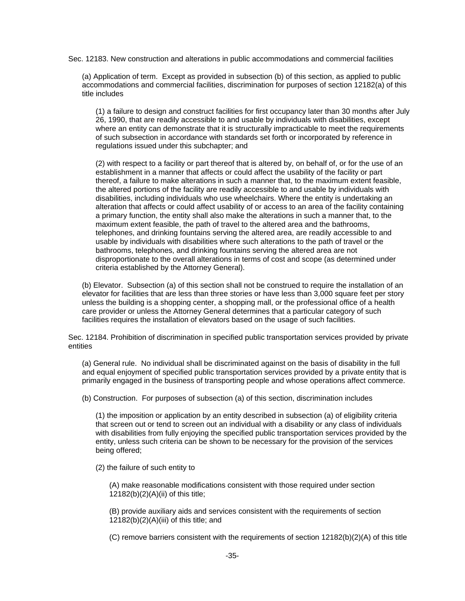Sec. 12183. New construction and alterations in public accommodations and commercial facilities

(a) Application of term. Except as provided in subsection (b) of this section, as applied to public accommodations and commercial facilities, discrimination for purposes of section 12182(a) of this title includes

(1) a failure to design and construct facilities for first occupancy later than 30 months after July 26, 1990, that are readily accessible to and usable by individuals with disabilities, except where an entity can demonstrate that it is structurally impracticable to meet the requirements of such subsection in accordance with standards set forth or incorporated by reference in regulations issued under this subchapter; and

(2) with respect to a facility or part thereof that is altered by, on behalf of, or for the use of an establishment in a manner that affects or could affect the usability of the facility or part thereof, a failure to make alterations in such a manner that, to the maximum extent feasible, the altered portions of the facility are readily accessible to and usable by individuals with disabilities, including individuals who use wheelchairs. Where the entity is undertaking an alteration that affects or could affect usability of or access to an area of the facility containing a primary function, the entity shall also make the alterations in such a manner that, to the maximum extent feasible, the path of travel to the altered area and the bathrooms, telephones, and drinking fountains serving the altered area, are readily accessible to and usable by individuals with disabilities where such alterations to the path of travel or the bathrooms, telephones, and drinking fountains serving the altered area are not disproportionate to the overall alterations in terms of cost and scope (as determined under criteria established by the Attorney General).

(b) Elevator. Subsection (a) of this section shall not be construed to require the installation of an elevator for facilities that are less than three stories or have less than 3,000 square feet per story unless the building is a shopping center, a shopping mall, or the professional office of a health care provider or unless the Attorney General determines that a particular category of such facilities requires the installation of elevators based on the usage of such facilities.

Sec. 12184. Prohibition of discrimination in specified public transportation services provided by private entities

(a) General rule. No individual shall be discriminated against on the basis of disability in the full and equal enjoyment of specified public transportation services provided by a private entity that is primarily engaged in the business of transporting people and whose operations affect commerce.

(b) Construction. For purposes of subsection (a) of this section, discrimination includes

(1) the imposition or application by an entity described in subsection (a) of eligibility criteria that screen out or tend to screen out an individual with a disability or any class of individuals with disabilities from fully enjoying the specified public transportation services provided by the entity, unless such criteria can be shown to be necessary for the provision of the services being offered;

(2) the failure of such entity to

(A) make reasonable modifications consistent with those required under section 12182(b)(2)(A)(ii) of this title;

(B) provide auxiliary aids and services consistent with the requirements of section 12182(b)(2)(A)(iii) of this title; and

(C) remove barriers consistent with the requirements of section  $12182(b)(2)(A)$  of this title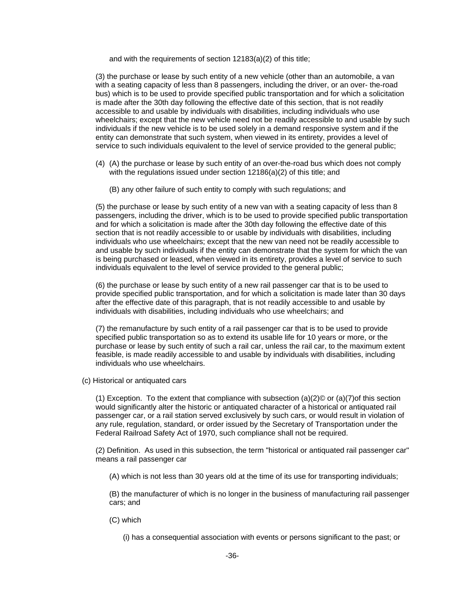and with the requirements of section 12183(a)(2) of this title;

(3) the purchase or lease by such entity of a new vehicle (other than an automobile, a van with a seating capacity of less than 8 passengers, including the driver, or an over- the-road bus) which is to be used to provide specified public transportation and for which a solicitation is made after the 30th day following the effective date of this section, that is not readily accessible to and usable by individuals with disabilities, including individuals who use wheelchairs; except that the new vehicle need not be readily accessible to and usable by such individuals if the new vehicle is to be used solely in a demand responsive system and if the entity can demonstrate that such system, when viewed in its entirety, provides a level of service to such individuals equivalent to the level of service provided to the general public;

- (4) (A) the purchase or lease by such entity of an over-the-road bus which does not comply with the regulations issued under section 12186(a)(2) of this title; and
	- (B) any other failure of such entity to comply with such regulations; and

(5) the purchase or lease by such entity of a new van with a seating capacity of less than 8 passengers, including the driver, which is to be used to provide specified public transportation and for which a solicitation is made after the 30th day following the effective date of this section that is not readily accessible to or usable by individuals with disabilities, including individuals who use wheelchairs; except that the new van need not be readily accessible to and usable by such individuals if the entity can demonstrate that the system for which the van is being purchased or leased, when viewed in its entirety, provides a level of service to such individuals equivalent to the level of service provided to the general public;

(6) the purchase or lease by such entity of a new rail passenger car that is to be used to provide specified public transportation, and for which a solicitation is made later than 30 days after the effective date of this paragraph, that is not readily accessible to and usable by individuals with disabilities, including individuals who use wheelchairs; and

(7) the remanufacture by such entity of a rail passenger car that is to be used to provide specified public transportation so as to extend its usable life for 10 years or more, or the purchase or lease by such entity of such a rail car, unless the rail car, to the maximum extent feasible, is made readily accessible to and usable by individuals with disabilities, including individuals who use wheelchairs.

(c) Historical or antiquated cars

(1) Exception. To the extent that compliance with subsection  $(a)(2)$ © or  $(a)(7)$ of this section would significantly alter the historic or antiquated character of a historical or antiquated rail passenger car, or a rail station served exclusively by such cars, or would result in violation of any rule, regulation, standard, or order issued by the Secretary of Transportation under the Federal Railroad Safety Act of 1970, such compliance shall not be required.

(2) Definition. As used in this subsection, the term "historical or antiquated rail passenger car" means a rail passenger car

(A) which is not less than 30 years old at the time of its use for transporting individuals;

(B) the manufacturer of which is no longer in the business of manufacturing rail passenger cars; and

(C) which

(i) has a consequential association with events or persons significant to the past; or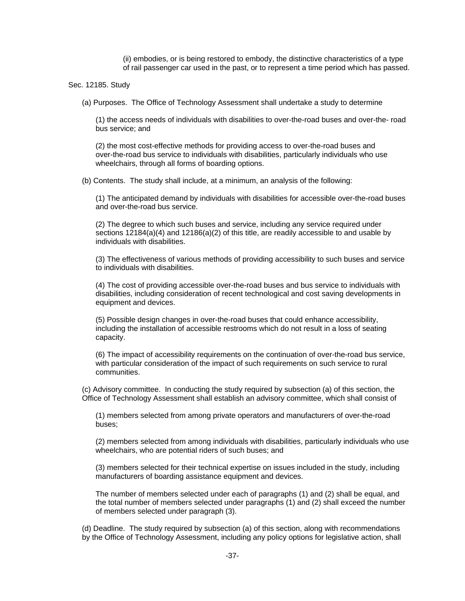(ii) embodies, or is being restored to embody, the distinctive characteristics of a type of rail passenger car used in the past, or to represent a time period which has passed.

Sec. 12185. Study

(a) Purposes. The Office of Technology Assessment shall undertake a study to determine

(1) the access needs of individuals with disabilities to over-the-road buses and over-the- road bus service; and

(2) the most cost-effective methods for providing access to over-the-road buses and over-the-road bus service to individuals with disabilities, particularly individuals who use wheelchairs, through all forms of boarding options.

(b) Contents. The study shall include, at a minimum, an analysis of the following:

(1) The anticipated demand by individuals with disabilities for accessible over-the-road buses and over-the-road bus service.

(2) The degree to which such buses and service, including any service required under sections 12184(a)(4) and 12186(a)(2) of this title, are readily accessible to and usable by individuals with disabilities.

(3) The effectiveness of various methods of providing accessibility to such buses and service to individuals with disabilities.

(4) The cost of providing accessible over-the-road buses and bus service to individuals with disabilities, including consideration of recent technological and cost saving developments in equipment and devices.

(5) Possible design changes in over-the-road buses that could enhance accessibility, including the installation of accessible restrooms which do not result in a loss of seating capacity.

(6) The impact of accessibility requirements on the continuation of over-the-road bus service, with particular consideration of the impact of such requirements on such service to rural communities.

(c) Advisory committee. In conducting the study required by subsection (a) of this section, the Office of Technology Assessment shall establish an advisory committee, which shall consist of

(1) members selected from among private operators and manufacturers of over-the-road buses;

(2) members selected from among individuals with disabilities, particularly individuals who use wheelchairs, who are potential riders of such buses; and

(3) members selected for their technical expertise on issues included in the study, including manufacturers of boarding assistance equipment and devices.

The number of members selected under each of paragraphs (1) and (2) shall be equal, and the total number of members selected under paragraphs (1) and (2) shall exceed the number of members selected under paragraph (3).

(d) Deadline. The study required by subsection (a) of this section, along with recommendations by the Office of Technology Assessment, including any policy options for legislative action, shall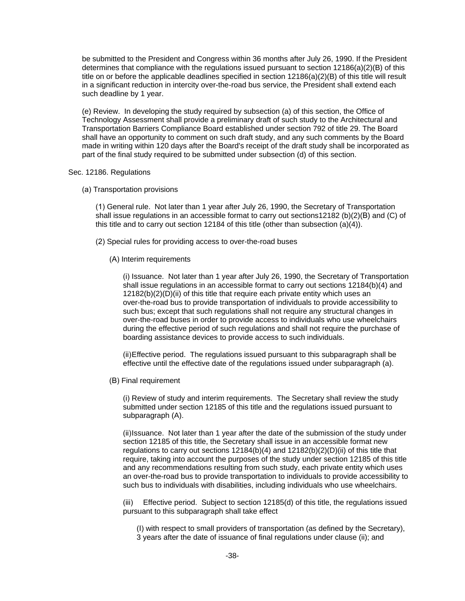be submitted to the President and Congress within 36 months after July 26, 1990. If the President determines that compliance with the regulations issued pursuant to section 12186(a)(2)(B) of this title on or before the applicable deadlines specified in section 12186(a)(2)(B) of this title will result in a significant reduction in intercity over-the-road bus service, the President shall extend each such deadline by 1 year.

(e) Review. In developing the study required by subsection (a) of this section, the Office of Technology Assessment shall provide a preliminary draft of such study to the Architectural and Transportation Barriers Compliance Board established under section 792 of title 29. The Board shall have an opportunity to comment on such draft study, and any such comments by the Board made in writing within 120 days after the Board's receipt of the draft study shall be incorporated as part of the final study required to be submitted under subsection (d) of this section.

### Sec. 12186. Regulations

(a) Transportation provisions

(1) General rule. Not later than 1 year after July 26, 1990, the Secretary of Transportation shall issue regulations in an accessible format to carry out sections12182 (b)(2)(B) and (C) of this title and to carry out section 12184 of this title (other than subsection (a)(4)).

- (2) Special rules for providing access to over-the-road buses
	- (A) Interim requirements

(i) Issuance. Not later than 1 year after July 26, 1990, the Secretary of Transportation shall issue regulations in an accessible format to carry out sections 12184(b)(4) and 12182(b)(2)(D)(ii) of this title that require each private entity which uses an over-the-road bus to provide transportation of individuals to provide accessibility to such bus; except that such regulations shall not require any structural changes in over-the-road buses in order to provide access to individuals who use wheelchairs during the effective period of such regulations and shall not require the purchase of boarding assistance devices to provide access to such individuals.

(ii)Effective period. The regulations issued pursuant to this subparagraph shall be effective until the effective date of the regulations issued under subparagraph (a).

(B) Final requirement

(i) Review of study and interim requirements. The Secretary shall review the study submitted under section 12185 of this title and the regulations issued pursuant to subparagraph (A).

(ii)Issuance. Not later than 1 year after the date of the submission of the study under section 12185 of this title, the Secretary shall issue in an accessible format new regulations to carry out sections  $12184(b)(4)$  and  $12182(b)(2)(D)(ii)$  of this title that require, taking into account the purposes of the study under section 12185 of this title and any recommendations resulting from such study, each private entity which uses an over-the-road bus to provide transportation to individuals to provide accessibility to such bus to individuals with disabilities, including individuals who use wheelchairs.

(iii) Effective period. Subject to section 12185(d) of this title, the regulations issued pursuant to this subparagraph shall take effect

(I) with respect to small providers of transportation (as defined by the Secretary), 3 years after the date of issuance of final regulations under clause (ii); and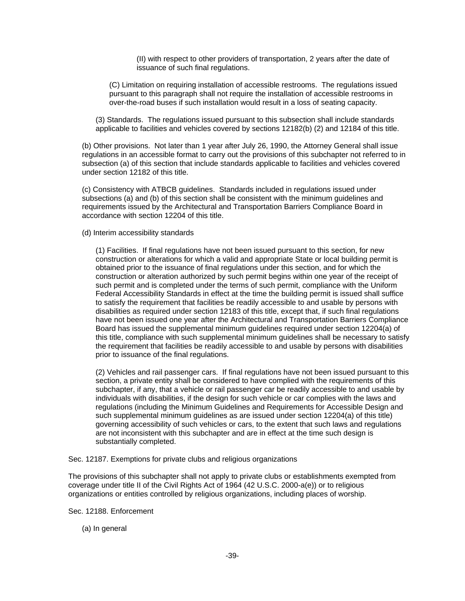(II) with respect to other providers of transportation, 2 years after the date of issuance of such final regulations.

(C) Limitation on requiring installation of accessible restrooms. The regulations issued pursuant to this paragraph shall not require the installation of accessible restrooms in over-the-road buses if such installation would result in a loss of seating capacity.

(3) Standards. The regulations issued pursuant to this subsection shall include standards applicable to facilities and vehicles covered by sections 12182(b) (2) and 12184 of this title.

(b) Other provisions. Not later than 1 year after July 26, 1990, the Attorney General shall issue regulations in an accessible format to carry out the provisions of this subchapter not referred to in subsection (a) of this section that include standards applicable to facilities and vehicles covered under section 12182 of this title.

(c) Consistency with ATBCB guidelines. Standards included in regulations issued under subsections (a) and (b) of this section shall be consistent with the minimum guidelines and requirements issued by the Architectural and Transportation Barriers Compliance Board in accordance with section 12204 of this title.

(d) Interim accessibility standards

(1) Facilities. If final regulations have not been issued pursuant to this section, for new construction or alterations for which a valid and appropriate State or local building permit is obtained prior to the issuance of final regulations under this section, and for which the construction or alteration authorized by such permit begins within one year of the receipt of such permit and is completed under the terms of such permit, compliance with the Uniform Federal Accessibility Standards in effect at the time the building permit is issued shall suffice to satisfy the requirement that facilities be readily accessible to and usable by persons with disabilities as required under section 12183 of this title, except that, if such final regulations have not been issued one year after the Architectural and Transportation Barriers Compliance Board has issued the supplemental minimum guidelines required under section 12204(a) of this title, compliance with such supplemental minimum guidelines shall be necessary to satisfy the requirement that facilities be readily accessible to and usable by persons with disabilities prior to issuance of the final regulations.

(2) Vehicles and rail passenger cars. If final regulations have not been issued pursuant to this section, a private entity shall be considered to have complied with the requirements of this subchapter, if any, that a vehicle or rail passenger car be readily accessible to and usable by individuals with disabilities, if the design for such vehicle or car complies with the laws and regulations (including the Minimum Guidelines and Requirements for Accessible Design and such supplemental minimum guidelines as are issued under section 12204(a) of this title) governing accessibility of such vehicles or cars, to the extent that such laws and regulations are not inconsistent with this subchapter and are in effect at the time such design is substantially completed.

Sec. 12187. Exemptions for private clubs and religious organizations

The provisions of this subchapter shall not apply to private clubs or establishments exempted from coverage under title II of the Civil Rights Act of 1964 (42 U.S.C. 2000-a(e)) or to religious organizations or entities controlled by religious organizations, including places of worship.

Sec. 12188. Enforcement

(a) In general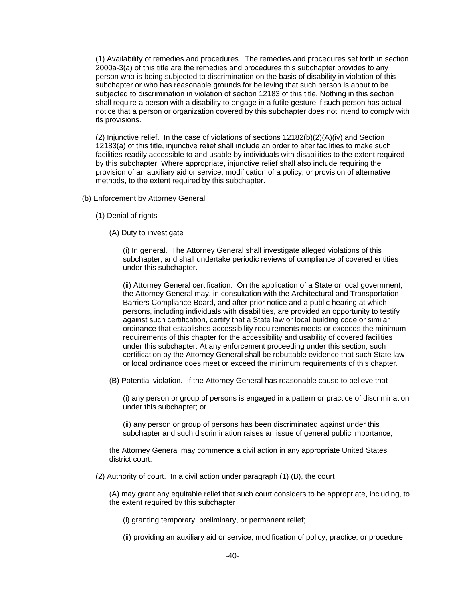(1) Availability of remedies and procedures. The remedies and procedures set forth in section 2000a-3(a) of this title are the remedies and procedures this subchapter provides to any person who is being subjected to discrimination on the basis of disability in violation of this subchapter or who has reasonable grounds for believing that such person is about to be subjected to discrimination in violation of section 12183 of this title. Nothing in this section shall require a person with a disability to engage in a futile gesture if such person has actual notice that a person or organization covered by this subchapter does not intend to comply with its provisions.

(2) Injunctive relief. In the case of violations of sections  $12182(b)(2)(A)(iv)$  and Section 12183(a) of this title, injunctive relief shall include an order to alter facilities to make such facilities readily accessible to and usable by individuals with disabilities to the extent required by this subchapter. Where appropriate, injunctive relief shall also include requiring the provision of an auxiliary aid or service, modification of a policy, or provision of alternative methods, to the extent required by this subchapter.

- (b) Enforcement by Attorney General
	- (1) Denial of rights
		- (A) Duty to investigate

(i) In general. The Attorney General shall investigate alleged violations of this subchapter, and shall undertake periodic reviews of compliance of covered entities under this subchapter.

(ii) Attorney General certification. On the application of a State or local government, the Attorney General may, in consultation with the Architectural and Transportation Barriers Compliance Board, and after prior notice and a public hearing at which persons, including individuals with disabilities, are provided an opportunity to testify against such certification, certify that a State law or local building code or similar ordinance that establishes accessibility requirements meets or exceeds the minimum requirements of this chapter for the accessibility and usability of covered facilities under this subchapter. At any enforcement proceeding under this section, such certification by the Attorney General shall be rebuttable evidence that such State law or local ordinance does meet or exceed the minimum requirements of this chapter.

(B) Potential violation. If the Attorney General has reasonable cause to believe that

(i) any person or group of persons is engaged in a pattern or practice of discrimination under this subchapter; or

(ii) any person or group of persons has been discriminated against under this subchapter and such discrimination raises an issue of general public importance,

the Attorney General may commence a civil action in any appropriate United States district court.

(2) Authority of court. In a civil action under paragraph (1) (B), the court

(A) may grant any equitable relief that such court considers to be appropriate, including, to the extent required by this subchapter

(i) granting temporary, preliminary, or permanent relief;

(ii) providing an auxiliary aid or service, modification of policy, practice, or procedure,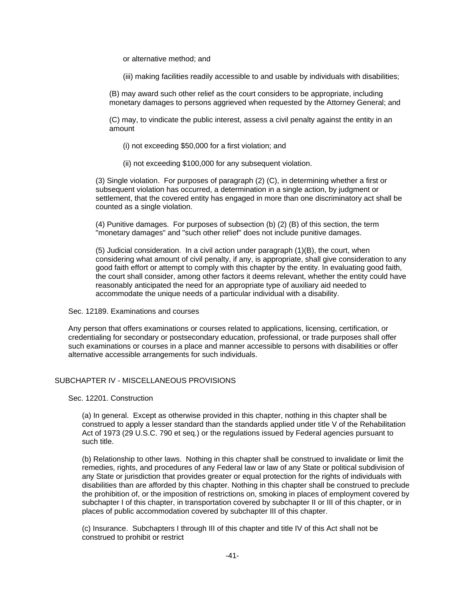or alternative method; and

(iii) making facilities readily accessible to and usable by individuals with disabilities;

(B) may award such other relief as the court considers to be appropriate, including monetary damages to persons aggrieved when requested by the Attorney General; and

(C) may, to vindicate the public interest, assess a civil penalty against the entity in an amount

(i) not exceeding \$50,000 for a first violation; and

(ii) not exceeding \$100,000 for any subsequent violation.

(3) Single violation. For purposes of paragraph (2) (C), in determining whether a first or subsequent violation has occurred, a determination in a single action, by judgment or settlement, that the covered entity has engaged in more than one discriminatory act shall be counted as a single violation.

(4) Punitive damages. For purposes of subsection (b) (2) (B) of this section, the term "monetary damages" and "such other relief" does not include punitive damages.

(5) Judicial consideration. In a civil action under paragraph (1)(B), the court, when considering what amount of civil penalty, if any, is appropriate, shall give consideration to any good faith effort or attempt to comply with this chapter by the entity. In evaluating good faith, the court shall consider, among other factors it deems relevant, whether the entity could have reasonably anticipated the need for an appropriate type of auxiliary aid needed to accommodate the unique needs of a particular individual with a disability.

Sec. 12189. Examinations and courses

Any person that offers examinations or courses related to applications, licensing, certification, or credentialing for secondary or postsecondary education, professional, or trade purposes shall offer such examinations or courses in a place and manner accessible to persons with disabilities or offer alternative accessible arrangements for such individuals.

# SUBCHAPTER IV - MISCELLANEOUS PROVISIONS

Sec. 12201. Construction

(a) In general. Except as otherwise provided in this chapter, nothing in this chapter shall be construed to apply a lesser standard than the standards applied under title V of the Rehabilitation Act of 1973 (29 U.S.C. 790 et seq.) or the regulations issued by Federal agencies pursuant to such title.

(b) Relationship to other laws. Nothing in this chapter shall be construed to invalidate or limit the remedies, rights, and procedures of any Federal law or law of any State or political subdivision of any State or jurisdiction that provides greater or equal protection for the rights of individuals with disabilities than are afforded by this chapter. Nothing in this chapter shall be construed to preclude the prohibition of, or the imposition of restrictions on, smoking in places of employment covered by subchapter I of this chapter, in transportation covered by subchapter II or III of this chapter, or in places of public accommodation covered by subchapter III of this chapter.

(c) Insurance. Subchapters I through III of this chapter and title IV of this Act shall not be construed to prohibit or restrict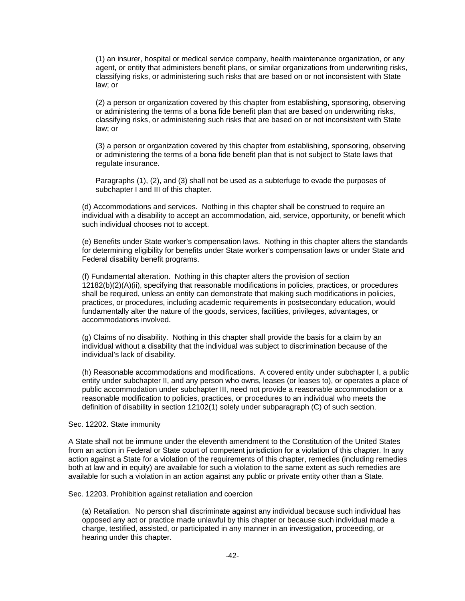(1) an insurer, hospital or medical service company, health maintenance organization, or any agent, or entity that administers benefit plans, or similar organizations from underwriting risks, classifying risks, or administering such risks that are based on or not inconsistent with State law; or

(2) a person or organization covered by this chapter from establishing, sponsoring, observing or administering the terms of a bona fide benefit plan that are based on underwriting risks, classifying risks, or administering such risks that are based on or not inconsistent with State law; or

(3) a person or organization covered by this chapter from establishing, sponsoring, observing or administering the terms of a bona fide benefit plan that is not subject to State laws that regulate insurance.

Paragraphs (1), (2), and (3) shall not be used as a subterfuge to evade the purposes of subchapter I and III of this chapter.

(d) Accommodations and services. Nothing in this chapter shall be construed to require an individual with a disability to accept an accommodation, aid, service, opportunity, or benefit which such individual chooses not to accept.

(e) Benefits under State worker's compensation laws. Nothing in this chapter alters the standards for determining eligibility for benefits under State worker's compensation laws or under State and Federal disability benefit programs.

(f) Fundamental alteration. Nothing in this chapter alters the provision of section 12182(b)(2)(A)(ii), specifying that reasonable modifications in policies, practices, or procedures shall be required, unless an entity can demonstrate that making such modifications in policies, practices, or procedures, including academic requirements in postsecondary education, would fundamentally alter the nature of the goods, services, facilities, privileges, advantages, or accommodations involved.

(g) Claims of no disability. Nothing in this chapter shall provide the basis for a claim by an individual without a disability that the individual was subject to discrimination because of the individual's lack of disability.

(h) Reasonable accommodations and modifications. A covered entity under subchapter I, a public entity under subchapter II, and any person who owns, leases (or leases to), or operates a place of public accommodation under subchapter III, need not provide a reasonable accommodation or a reasonable modification to policies, practices, or procedures to an individual who meets the definition of disability in section 12102(1) solely under subparagraph (C) of such section.

Sec. 12202. State immunity

A State shall not be immune under the eleventh amendment to the Constitution of the United States from an action in Federal or State court of competent jurisdiction for a violation of this chapter. In any action against a State for a violation of the requirements of this chapter, remedies (including remedies both at law and in equity) are available for such a violation to the same extent as such remedies are available for such a violation in an action against any public or private entity other than a State.

Sec. 12203. Prohibition against retaliation and coercion

(a) Retaliation. No person shall discriminate against any individual because such individual has opposed any act or practice made unlawful by this chapter or because such individual made a charge, testified, assisted, or participated in any manner in an investigation, proceeding, or hearing under this chapter.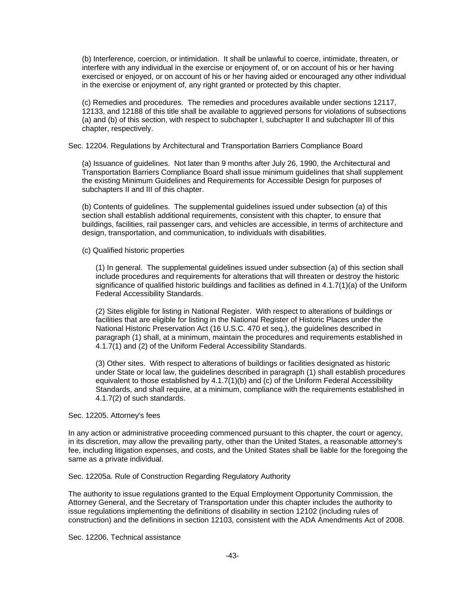(b) Interference, coercion, or intimidation. It shall be unlawful to coerce, intimidate, threaten, or interfere with any individual in the exercise or enjoyment of, or on account of his or her having exercised or enjoyed, or on account of his or her having aided or encouraged any other individual in the exercise or enjoyment of, any right granted or protected by this chapter.

(c) Remedies and procedures. The remedies and procedures available under sections 12117, 12133, and 12188 of this title shall be available to aggrieved persons for violations of subsections (a) and (b) of this section, with respect to subchapter I, subchapter II and subchapter III of this chapter, respectively.

## Sec. 12204. Regulations by Architectural and Transportation Barriers Compliance Board

(a) Issuance of guidelines. Not later than 9 months after July 26, 1990, the Architectural and Transportation Barriers Compliance Board shall issue minimum guidelines that shall supplement the existing Minimum Guidelines and Requirements for Accessible Design for purposes of subchapters II and III of this chapter.

(b) Contents of guidelines. The supplemental guidelines issued under subsection (a) of this section shall establish additional requirements, consistent with this chapter, to ensure that buildings, facilities, rail passenger cars, and vehicles are accessible, in terms of architecture and design, transportation, and communication, to individuals with disabilities.

(c) Qualified historic properties

(1) In general. The supplemental guidelines issued under subsection (a) of this section shall include procedures and requirements for alterations that will threaten or destroy the historic significance of qualified historic buildings and facilities as defined in 4.1.7(1)(a) of the Uniform Federal Accessibility Standards.

(2) Sites eligible for listing in National Register. With respect to alterations of buildings or facilities that are eligible for listing in the National Register of Historic Places under the National Historic Preservation Act (16 U.S.C. 470 et seq.), the guidelines described in paragraph (1) shall, at a minimum, maintain the procedures and requirements established in 4.1.7(1) and (2) of the Uniform Federal Accessibility Standards.

(3) Other sites. With respect to alterations of buildings or facilities designated as historic under State or local law, the guidelines described in paragraph (1) shall establish procedures equivalent to those established by 4.1.7(1)(b) and (c) of the Uniform Federal Accessibility Standards, and shall require, at a minimum, compliance with the requirements established in 4.1.7(2) of such standards.

Sec. 12205. Attorney's fees

In any action or administrative proceeding commenced pursuant to this chapter, the court or agency, in its discretion, may allow the prevailing party, other than the United States, a reasonable attorney's fee, including litigation expenses, and costs, and the United States shall be liable for the foregoing the same as a private individual.

Sec. 12205a. Rule of Construction Regarding Regulatory Authority

The authority to issue regulations granted to the Equal Employment Opportunity Commission, the Attorney General, and the Secretary of Transportation under this chapter includes the authority to issue regulations implementing the definitions of disability in section 12102 (including rules of construction) and the definitions in section 12103, consistent with the ADA Amendments Act of 2008.

Sec. 12206. Technical assistance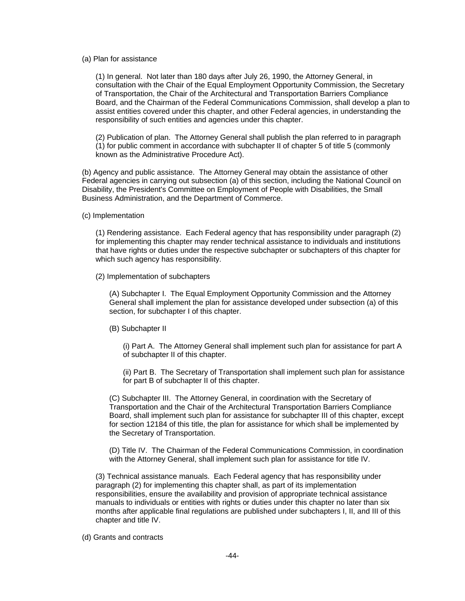### (a) Plan for assistance

(1) In general. Not later than 180 days after July 26, 1990, the Attorney General, in consultation with the Chair of the Equal Employment Opportunity Commission, the Secretary of Transportation, the Chair of the Architectural and Transportation Barriers Compliance Board, and the Chairman of the Federal Communications Commission, shall develop a plan to assist entities covered under this chapter, and other Federal agencies, in understanding the responsibility of such entities and agencies under this chapter.

(2) Publication of plan. The Attorney General shall publish the plan referred to in paragraph (1) for public comment in accordance with subchapter II of chapter 5 of title 5 (commonly known as the Administrative Procedure Act).

(b) Agency and public assistance. The Attorney General may obtain the assistance of other Federal agencies in carrying out subsection (a) of this section, including the National Council on Disability, the President's Committee on Employment of People with Disabilities, the Small Business Administration, and the Department of Commerce.

(c) Implementation

(1) Rendering assistance. Each Federal agency that has responsibility under paragraph (2) for implementing this chapter may render technical assistance to individuals and institutions that have rights or duties under the respective subchapter or subchapters of this chapter for which such agency has responsibility.

(2) Implementation of subchapters

(A) Subchapter I. The Equal Employment Opportunity Commission and the Attorney General shall implement the plan for assistance developed under subsection (a) of this section, for subchapter I of this chapter.

(B) Subchapter II

(i) Part A. The Attorney General shall implement such plan for assistance for part A of subchapter II of this chapter.

(ii) Part B. The Secretary of Transportation shall implement such plan for assistance for part B of subchapter II of this chapter.

(C) Subchapter III. The Attorney General, in coordination with the Secretary of Transportation and the Chair of the Architectural Transportation Barriers Compliance Board, shall implement such plan for assistance for subchapter III of this chapter, except for section 12184 of this title, the plan for assistance for which shall be implemented by the Secretary of Transportation.

(D) Title IV. The Chairman of the Federal Communications Commission, in coordination with the Attorney General, shall implement such plan for assistance for title IV.

(3) Technical assistance manuals. Each Federal agency that has responsibility under paragraph (2) for implementing this chapter shall, as part of its implementation responsibilities, ensure the availability and provision of appropriate technical assistance manuals to individuals or entities with rights or duties under this chapter no later than six months after applicable final regulations are published under subchapters I, II, and III of this chapter and title IV.

(d) Grants and contracts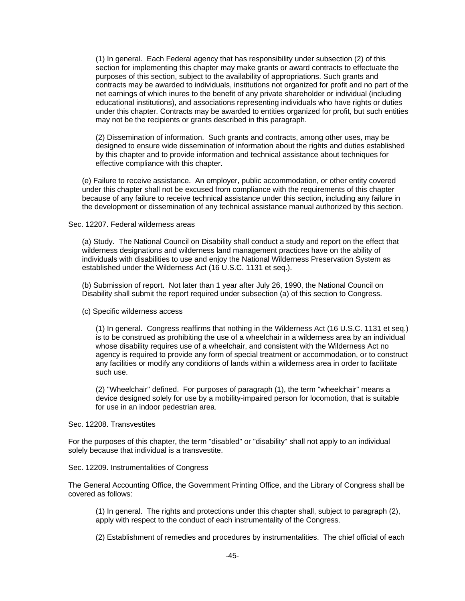(1) In general. Each Federal agency that has responsibility under subsection (2) of this section for implementing this chapter may make grants or award contracts to effectuate the purposes of this section, subject to the availability of appropriations. Such grants and contracts may be awarded to individuals, institutions not organized for profit and no part of the net earnings of which inures to the benefit of any private shareholder or individual (including educational institutions), and associations representing individuals who have rights or duties under this chapter. Contracts may be awarded to entities organized for profit, but such entities may not be the recipients or grants described in this paragraph.

(2) Dissemination of information. Such grants and contracts, among other uses, may be designed to ensure wide dissemination of information about the rights and duties established by this chapter and to provide information and technical assistance about techniques for effective compliance with this chapter.

(e) Failure to receive assistance. An employer, public accommodation, or other entity covered under this chapter shall not be excused from compliance with the requirements of this chapter because of any failure to receive technical assistance under this section, including any failure in the development or dissemination of any technical assistance manual authorized by this section.

Sec. 12207. Federal wilderness areas

(a) Study. The National Council on Disability shall conduct a study and report on the effect that wilderness designations and wilderness land management practices have on the ability of individuals with disabilities to use and enjoy the National Wilderness Preservation System as established under the Wilderness Act (16 U.S.C. 1131 et seq.).

(b) Submission of report. Not later than 1 year after July 26, 1990, the National Council on Disability shall submit the report required under subsection (a) of this section to Congress.

(c) Specific wilderness access

(1) In general. Congress reaffirms that nothing in the Wilderness Act (16 U.S.C. 1131 et seq.) is to be construed as prohibiting the use of a wheelchair in a wilderness area by an individual whose disability requires use of a wheelchair, and consistent with the Wilderness Act no agency is required to provide any form of special treatment or accommodation, or to construct any facilities or modify any conditions of lands within a wilderness area in order to facilitate such use.

(2) "Wheelchair" defined. For purposes of paragraph (1), the term "wheelchair" means a device designed solely for use by a mobility-impaired person for locomotion, that is suitable for use in an indoor pedestrian area.

Sec. 12208. Transvestites

For the purposes of this chapter, the term "disabled" or "disability" shall not apply to an individual solely because that individual is a transvestite.

### Sec. 12209. Instrumentalities of Congress

The General Accounting Office, the Government Printing Office, and the Library of Congress shall be covered as follows:

(1) In general. The rights and protections under this chapter shall, subject to paragraph (2), apply with respect to the conduct of each instrumentality of the Congress.

(2) Establishment of remedies and procedures by instrumentalities. The chief official of each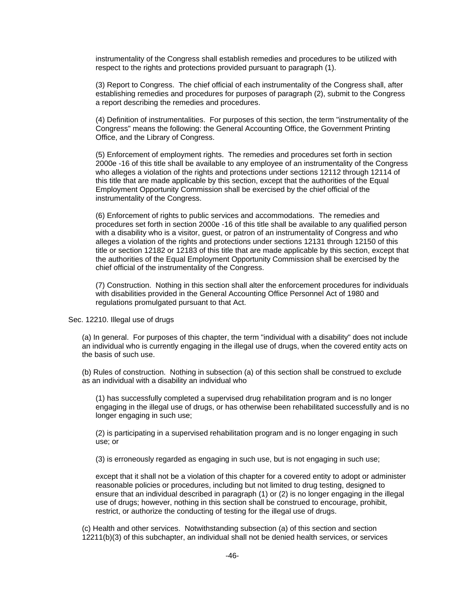instrumentality of the Congress shall establish remedies and procedures to be utilized with respect to the rights and protections provided pursuant to paragraph (1).

(3) Report to Congress. The chief official of each instrumentality of the Congress shall, after establishing remedies and procedures for purposes of paragraph (2), submit to the Congress a report describing the remedies and procedures.

(4) Definition of instrumentalities. For purposes of this section, the term "instrumentality of the Congress" means the following: the General Accounting Office, the Government Printing Office, and the Library of Congress.

(5) Enforcement of employment rights. The remedies and procedures set forth in section 2000e -16 of this title shall be available to any employee of an instrumentality of the Congress who alleges a violation of the rights and protections under sections 12112 through 12114 of this title that are made applicable by this section, except that the authorities of the Equal Employment Opportunity Commission shall be exercised by the chief official of the instrumentality of the Congress.

(6) Enforcement of rights to public services and accommodations. The remedies and procedures set forth in section 2000e -16 of this title shall be available to any qualified person with a disability who is a visitor, guest, or patron of an instrumentality of Congress and who alleges a violation of the rights and protections under sections 12131 through 12150 of this title or section 12182 or 12183 of this title that are made applicable by this section, except that the authorities of the Equal Employment Opportunity Commission shall be exercised by the chief official of the instrumentality of the Congress.

(7) Construction. Nothing in this section shall alter the enforcement procedures for individuals with disabilities provided in the General Accounting Office Personnel Act of 1980 and regulations promulgated pursuant to that Act.

Sec. 12210. Illegal use of drugs

(a) In general. For purposes of this chapter, the term "individual with a disability" does not include an individual who is currently engaging in the illegal use of drugs, when the covered entity acts on the basis of such use.

(b) Rules of construction. Nothing in subsection (a) of this section shall be construed to exclude as an individual with a disability an individual who

(1) has successfully completed a supervised drug rehabilitation program and is no longer engaging in the illegal use of drugs, or has otherwise been rehabilitated successfully and is no longer engaging in such use;

(2) is participating in a supervised rehabilitation program and is no longer engaging in such use; or

(3) is erroneously regarded as engaging in such use, but is not engaging in such use;

except that it shall not be a violation of this chapter for a covered entity to adopt or administer reasonable policies or procedures, including but not limited to drug testing, designed to ensure that an individual described in paragraph (1) or (2) is no longer engaging in the illegal use of drugs; however, nothing in this section shall be construed to encourage, prohibit, restrict, or authorize the conducting of testing for the illegal use of drugs.

(c) Health and other services. Notwithstanding subsection (a) of this section and section 12211(b)(3) of this subchapter, an individual shall not be denied health services, or services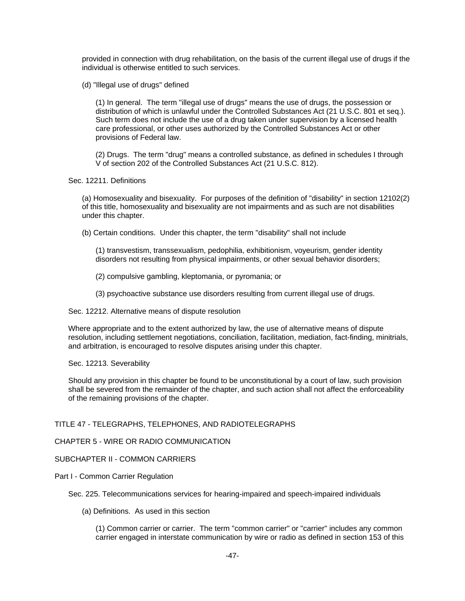provided in connection with drug rehabilitation, on the basis of the current illegal use of drugs if the individual is otherwise entitled to such services.

(d) "Illegal use of drugs" defined

(1) In general. The term "illegal use of drugs" means the use of drugs, the possession or distribution of which is unlawful under the Controlled Substances Act (21 U.S.C. 801 et seq.). Such term does not include the use of a drug taken under supervision by a licensed health care professional, or other uses authorized by the Controlled Substances Act or other provisions of Federal law.

(2) Drugs. The term "drug" means a controlled substance, as defined in schedules I through V of section 202 of the Controlled Substances Act (21 U.S.C. 812).

Sec. 12211. Definitions

(a) Homosexuality and bisexuality. For purposes of the definition of "disability" in section 12102(2) of this title, homosexuality and bisexuality are not impairments and as such are not disabilities under this chapter.

(b) Certain conditions. Under this chapter, the term "disability" shall not include

(1) transvestism, transsexualism, pedophilia, exhibitionism, voyeurism, gender identity disorders not resulting from physical impairments, or other sexual behavior disorders;

(2) compulsive gambling, kleptomania, or pyromania; or

(3) psychoactive substance use disorders resulting from current illegal use of drugs.

Sec. 12212. Alternative means of dispute resolution

Where appropriate and to the extent authorized by law, the use of alternative means of dispute resolution, including settlement negotiations, conciliation, facilitation, mediation, fact-finding, minitrials, and arbitration, is encouraged to resolve disputes arising under this chapter.

Sec. 12213. Severability

Should any provision in this chapter be found to be unconstitutional by a court of law, such provision shall be severed from the remainder of the chapter, and such action shall not affect the enforceability of the remaining provisions of the chapter.

# TITLE 47 - TELEGRAPHS, TELEPHONES, AND RADIOTELEGRAPHS

# CHAPTER 5 - WIRE OR RADIO COMMUNICATION

# SUBCHAPTER II - COMMON CARRIERS

# Part I - Common Carrier Regulation

Sec. 225. Telecommunications services for hearing-impaired and speech-impaired individuals

(a) Definitions. As used in this section

(1) Common carrier or carrier. The term "common carrier" or "carrier" includes any common carrier engaged in interstate communication by wire or radio as defined in section 153 of this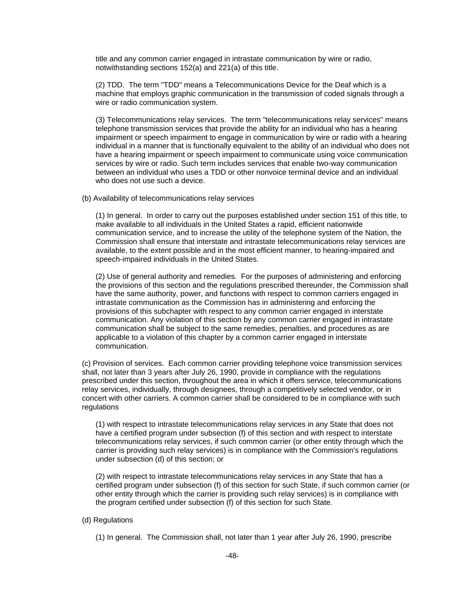title and any common carrier engaged in intrastate communication by wire or radio, notwithstanding sections 152(a) and 221(a) of this title.

(2) TDD. The term "TDD" means a Telecommunications Device for the Deaf which is a machine that employs graphic communication in the transmission of coded signals through a wire or radio communication system.

(3) Telecommunications relay services. The term "telecommunications relay services" means telephone transmission services that provide the ability for an individual who has a hearing impairment or speech impairment to engage in communication by wire or radio with a hearing individual in a manner that is functionally equivalent to the ability of an individual who does not have a hearing impairment or speech impairment to communicate using voice communication services by wire or radio. Such term includes services that enable two-way communication between an individual who uses a TDD or other nonvoice terminal device and an individual who does not use such a device.

(b) Availability of telecommunications relay services

(1) In general. In order to carry out the purposes established under section 151 of this title, to make available to all individuals in the United States a rapid, efficient nationwide communication service, and to increase the utility of the telephone system of the Nation, the Commission shall ensure that interstate and intrastate telecommunications relay services are available, to the extent possible and in the most efficient manner, to hearing-impaired and speech-impaired individuals in the United States.

(2) Use of general authority and remedies. For the purposes of administering and enforcing the provisions of this section and the regulations prescribed thereunder, the Commission shall have the same authority, power, and functions with respect to common carriers engaged in intrastate communication as the Commission has in administering and enforcing the provisions of this subchapter with respect to any common carrier engaged in interstate communication. Any violation of this section by any common carrier engaged in intrastate communication shall be subject to the same remedies, penalties, and procedures as are applicable to a violation of this chapter by a common carrier engaged in interstate communication.

(c) Provision of services. Each common carrier providing telephone voice transmission services shall, not later than 3 years after July 26, 1990, provide in compliance with the regulations prescribed under this section, throughout the area in which it offers service, telecommunications relay services, individually, through designees, through a competitively selected vendor, or in concert with other carriers. A common carrier shall be considered to be in compliance with such regulations

(1) with respect to intrastate telecommunications relay services in any State that does not have a certified program under subsection (f) of this section and with respect to interstate telecommunications relay services, if such common carrier (or other entity through which the carrier is providing such relay services) is in compliance with the Commission's regulations under subsection (d) of this section; or

(2) with respect to intrastate telecommunications relay services in any State that has a certified program under subsection (f) of this section for such State, if such common carrier (or other entity through which the carrier is providing such relay services) is in compliance with the program certified under subsection (f) of this section for such State.

# (d) Regulations

(1) In general. The Commission shall, not later than 1 year after July 26, 1990, prescribe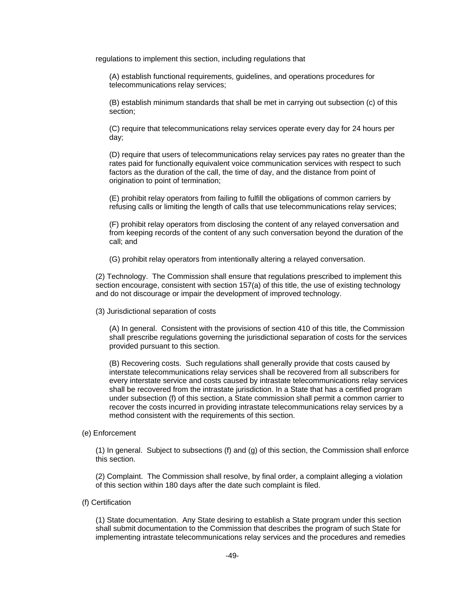regulations to implement this section, including regulations that

(A) establish functional requirements, guidelines, and operations procedures for telecommunications relay services;

(B) establish minimum standards that shall be met in carrying out subsection (c) of this section;

(C) require that telecommunications relay services operate every day for 24 hours per day;

(D) require that users of telecommunications relay services pay rates no greater than the rates paid for functionally equivalent voice communication services with respect to such factors as the duration of the call, the time of day, and the distance from point of origination to point of termination;

(E) prohibit relay operators from failing to fulfill the obligations of common carriers by refusing calls or limiting the length of calls that use telecommunications relay services;

(F) prohibit relay operators from disclosing the content of any relayed conversation and from keeping records of the content of any such conversation beyond the duration of the call; and

(G) prohibit relay operators from intentionally altering a relayed conversation.

(2) Technology. The Commission shall ensure that regulations prescribed to implement this section encourage, consistent with section 157(a) of this title, the use of existing technology and do not discourage or impair the development of improved technology.

(3) Jurisdictional separation of costs

(A) In general. Consistent with the provisions of section 410 of this title, the Commission shall prescribe regulations governing the jurisdictional separation of costs for the services provided pursuant to this section.

(B) Recovering costs. Such regulations shall generally provide that costs caused by interstate telecommunications relay services shall be recovered from all subscribers for every interstate service and costs caused by intrastate telecommunications relay services shall be recovered from the intrastate jurisdiction. In a State that has a certified program under subsection (f) of this section, a State commission shall permit a common carrier to recover the costs incurred in providing intrastate telecommunications relay services by a method consistent with the requirements of this section.

# (e) Enforcement

(1) In general. Subject to subsections (f) and (g) of this section, the Commission shall enforce this section.

(2) Complaint. The Commission shall resolve, by final order, a complaint alleging a violation of this section within 180 days after the date such complaint is filed.

### (f) Certification

(1) State documentation. Any State desiring to establish a State program under this section shall submit documentation to the Commission that describes the program of such State for implementing intrastate telecommunications relay services and the procedures and remedies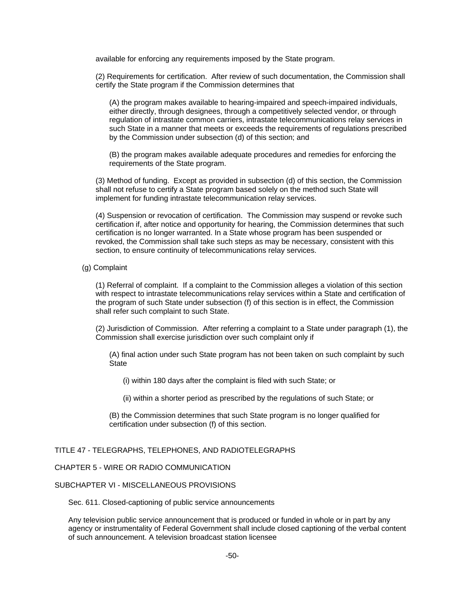available for enforcing any requirements imposed by the State program.

(2) Requirements for certification. After review of such documentation, the Commission shall certify the State program if the Commission determines that

(A) the program makes available to hearing-impaired and speech-impaired individuals, either directly, through designees, through a competitively selected vendor, or through regulation of intrastate common carriers, intrastate telecommunications relay services in such State in a manner that meets or exceeds the requirements of regulations prescribed by the Commission under subsection (d) of this section; and

(B) the program makes available adequate procedures and remedies for enforcing the requirements of the State program.

(3) Method of funding. Except as provided in subsection (d) of this section, the Commission shall not refuse to certify a State program based solely on the method such State will implement for funding intrastate telecommunication relay services.

(4) Suspension or revocation of certification. The Commission may suspend or revoke such certification if, after notice and opportunity for hearing, the Commission determines that such certification is no longer warranted. In a State whose program has been suspended or revoked, the Commission shall take such steps as may be necessary, consistent with this section, to ensure continuity of telecommunications relay services.

(g) Complaint

(1) Referral of complaint. If a complaint to the Commission alleges a violation of this section with respect to intrastate telecommunications relay services within a State and certification of the program of such State under subsection (f) of this section is in effect, the Commission shall refer such complaint to such State.

(2) Jurisdiction of Commission. After referring a complaint to a State under paragraph (1), the Commission shall exercise jurisdiction over such complaint only if

(A) final action under such State program has not been taken on such complaint by such **State** 

(i) within 180 days after the complaint is filed with such State; or

(ii) within a shorter period as prescribed by the regulations of such State; or

(B) the Commission determines that such State program is no longer qualified for certification under subsection (f) of this section.

### TITLE 47 - TELEGRAPHS, TELEPHONES, AND RADIOTELEGRAPHS

# CHAPTER 5 - WIRE OR RADIO COMMUNICATION

## SUBCHAPTER VI - MISCELLANEOUS PROVISIONS

Sec. 611. Closed-captioning of public service announcements

Any television public service announcement that is produced or funded in whole or in part by any agency or instrumentality of Federal Government shall include closed captioning of the verbal content of such announcement. A television broadcast station licensee